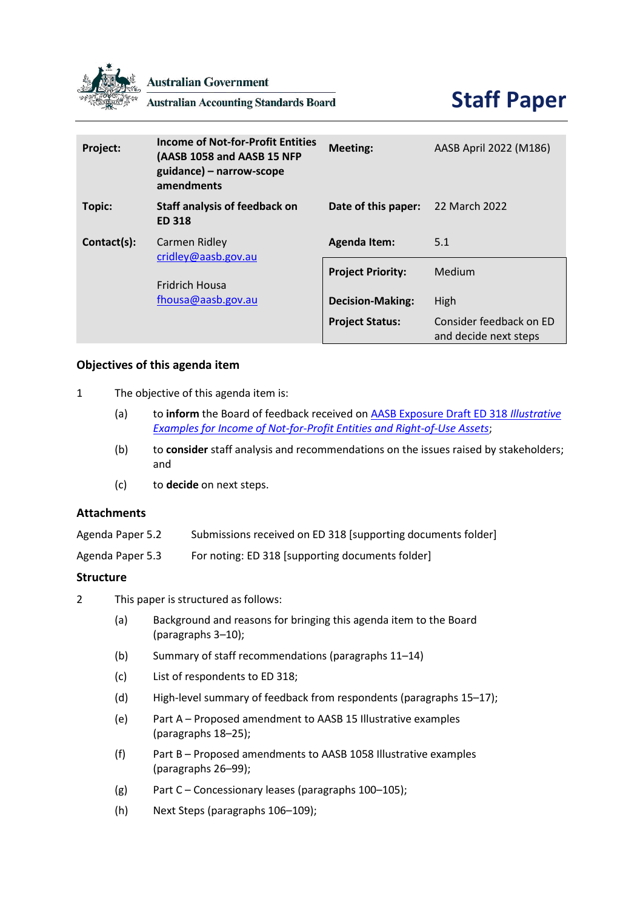

**Australian Government** 

**Australian Accounting Standards Board** 



| Project:    | <b>Income of Not-for-Profit Entities</b><br>(AASB 1058 and AASB 15 NFP<br>guidance) - narrow-scope<br>amendments | <b>Meeting:</b>          | AASB April 2022 (M186)                           |
|-------------|------------------------------------------------------------------------------------------------------------------|--------------------------|--------------------------------------------------|
| Topic:      | <b>Staff analysis of feedback on</b><br><b>ED 318</b>                                                            | Date of this paper:      | 22 March 2022                                    |
| Contact(s): | Carmen Ridley<br>cridley@aasb.gov.au<br><b>Fridrich Housa</b><br>fhousa@aasb.gov.au                              | <b>Agenda Item:</b>      | 5.1                                              |
|             |                                                                                                                  | <b>Project Priority:</b> | Medium                                           |
|             |                                                                                                                  | <b>Decision-Making:</b>  | High                                             |
|             |                                                                                                                  | <b>Project Status:</b>   | Consider feedback on ED<br>and decide next steps |

## **Objectives of this agenda item**

- 1 The objective of this agenda item is:
	- (a) to **inform** the Board of feedback received o[n AASB Exposure Draft ED 318](https://www.aasb.gov.au/admin/file/content105/c9/ACCED318_01-22.pdf) *Illustrative [Examples for Income of Not-for-Profit Entities and Right-of-Use Assets](https://www.aasb.gov.au/admin/file/content105/c9/ACCED318_01-22.pdf)*;
	- (b) to **consider** staff analysis and recommendations on the issues raised by stakeholders; and
	- (c) to **decide** on next steps.

## **Attachments**

| Agenda Paper 5.2 | Submissions received on ED 318 [supporting documents folder] |
|------------------|--------------------------------------------------------------|
|------------------|--------------------------------------------------------------|

Agenda Paper 5.3 For noting: ED 318 [supporting documents folder]

## **Structure**

- 2 This paper is structured as follows:
	- (a) [Background and reasons for bringing this agenda item to the Board](#page-1-0)  (paragraphs [3–](#page-1-1)[10\)](#page-2-0);
	- (b) [Summary of staff recommendations](#page-2-1) (paragraphs [11–](#page-2-2)[14\)](#page-3-0)
	- (c) [List of respondents to ED 318;](#page-4-0)
	- (d) [High-level summary of feedback from respondents](#page-4-1) (paragraphs [15](#page-4-2)[–17\)](#page-5-0);
	- (e) Part A Proposed amendment to AASB 15 Illustrative examples (paragraphs [18](#page-5-1)[–25\)](#page-6-0);
	- (f) Part B Proposed amendments to AASB 1058 Illustrative examples (paragraphs [26](#page-7-0)[–99\)](#page-22-0);
	- (g) Part C Concessionary leases (paragraphs [100–](#page-23-0)[105\)](#page-24-0);
	- (h) Next Steps (paragraphs [106](#page-25-0)[–109\)](#page-25-1);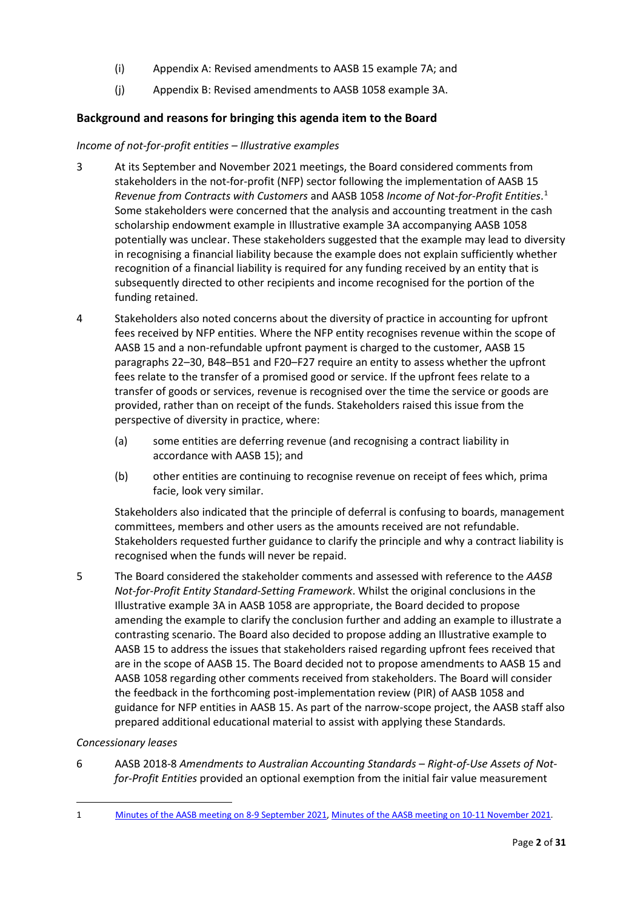- (i) [Appendix A: Revised amendments to AASB 15 example 7A;](#page-27-0) and
- (j) [Appendix B: Revised amendments to AASB 1058 example 3A.](#page-29-0)

## <span id="page-1-0"></span>**Background and reasons for bringing this agenda item to the Board**

## *Income of not-for-profit entities – Illustrative examples*

- <span id="page-1-1"></span>3 At its September and November 2021 meetings, the Board considered comments from stakeholders in the not-for-profit (NFP) sector following the implementation of AASB 15 *Revenue from Contracts with Customers* and AASB 1058 *Income of Not-for-Profit Entities*. [1](#page-1-2) Some stakeholders were concerned that the analysis and accounting treatment in the cash scholarship endowment example in Illustrative example 3A accompanying AASB 1058 potentially was unclear. These stakeholders suggested that the example may lead to diversity in recognising a financial liability because the example does not explain sufficiently whether recognition of a financial liability is required for any funding received by an entity that is subsequently directed to other recipients and income recognised for the portion of the funding retained.
- 4 Stakeholders also noted concerns about the diversity of practice in accounting for upfront fees received by NFP entities. Where the NFP entity recognises revenue within the scope of AASB 15 and a non-refundable upfront payment is charged to the customer, AASB 15 paragraphs 22–30, B48–B51 and F20–F27 require an entity to assess whether the upfront fees relate to the transfer of a promised good or service. If the upfront fees relate to a transfer of goods or services, revenue is recognised over the time the service or goods are provided, rather than on receipt of the funds. Stakeholders raised this issue from the perspective of diversity in practice, where:
	- (a) some entities are deferring revenue (and recognising a contract liability in accordance with AASB 15); and
	- (b) other entities are continuing to recognise revenue on receipt of fees which, prima facie, look very similar.

Stakeholders also indicated that the principle of deferral is confusing to boards, management committees, members and other users as the amounts received are not refundable. Stakeholders requested further guidance to clarify the principle and why a contract liability is recognised when the funds will never be repaid.

5 The Board considered the stakeholder comments and assessed with reference to the *AASB Not-for-Profit Entity Standard-Setting Framework*. Whilst the original conclusions in the Illustrative example 3A in AASB 1058 are appropriate, the Board decided to propose amending the example to clarify the conclusion further and adding an example to illustrate a contrasting scenario. The Board also decided to propose adding an Illustrative example to AASB 15 to address the issues that stakeholders raised regarding upfront fees received that are in the scope of AASB 15. The Board decided not to propose amendments to AASB 15 and AASB 1058 regarding other comments received from stakeholders. The Board will consider the feedback in the forthcoming post-implementation review (PIR) of AASB 1058 and guidance for NFP entities in AASB 15. As part of the narrow-scope project, the AASB staff also prepared additional educational material to assist with applying these Standards.

## *Concessionary leases*

6 AASB 2018-8 *Amendments to Australian Accounting Standards – Right-of-Use Assets of Notfor-Profit Entities* provided an optional exemption from the initial fair value measurement

<span id="page-1-2"></span><sup>1</sup> [Minutes of the AASB meeting on 8-9 September 2021,](https://aasb.gov.au/media/5l2ptuyt/approvedaasbminutesm183sept21.pdf) [Minutes of the AASB meeting on 10-11 November 2021.](https://aasb.gov.au/media/tvjl3hbs/aasbapprovedminutesm184_nov21.pdf)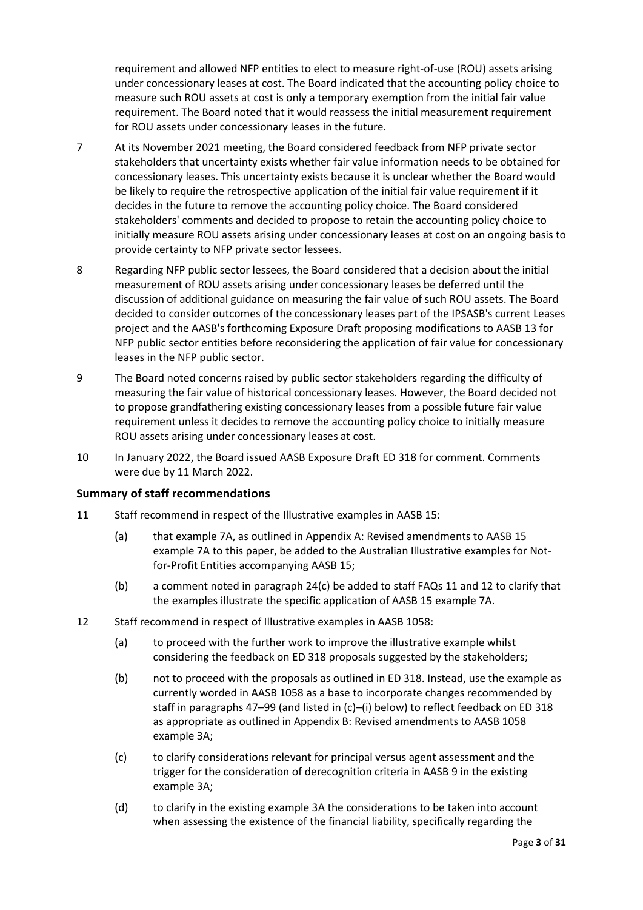requirement and allowed NFP entities to elect to measure right-of-use (ROU) assets arising under concessionary leases at cost. The Board indicated that the accounting policy choice to measure such ROU assets at cost is only a temporary exemption from the initial fair value requirement. The Board noted that it would reassess the initial measurement requirement for ROU assets under concessionary leases in the future.

- 7 At its November 2021 meeting, the Board considered feedback from NFP private sector stakeholders that uncertainty exists whether fair value information needs to be obtained for concessionary leases. This uncertainty exists because it is unclear whether the Board would be likely to require the retrospective application of the initial fair value requirement if it decides in the future to remove the accounting policy choice. The Board considered stakeholders' comments and decided to propose to retain the accounting policy choice to initially measure ROU assets arising under concessionary leases at cost on an ongoing basis to provide certainty to NFP private sector lessees.
- 8 Regarding NFP public sector lessees, the Board considered that a decision about the initial measurement of ROU assets arising under concessionary leases be deferred until the discussion of additional guidance on measuring the fair value of such ROU assets. The Board decided to consider outcomes of the concessionary leases part of the IPSASB's current Leases project and the AASB's forthcoming Exposure Draft proposing modifications to AASB 13 for NFP public sector entities before reconsidering the application of fair value for concessionary leases in the NFP public sector.
- 9 The Board noted concerns raised by public sector stakeholders regarding the difficulty of measuring the fair value of historical concessionary leases. However, the Board decided not to propose grandfathering existing concessionary leases from a possible future fair value requirement unless it decides to remove the accounting policy choice to initially measure ROU assets arising under concessionary leases at cost.
- <span id="page-2-0"></span>10 In January 2022, the Board issued AASB Exposure Draft ED 318 for comment. Comments were due by 11 March 2022.

## <span id="page-2-1"></span>**Summary of staff recommendations**

- <span id="page-2-2"></span>11 Staff recommend in respect of the Illustrative examples in AASB 15:
	- (a) that example 7A, as outlined in [Appendix A: Revised amendments to AASB 15](#page-27-0)  [example 7A](#page-27-0) to this paper, be added to the Australian Illustrative examples for Notfor-Profit Entities accompanying AASB 15;
	- (b) a comment noted in paragraph [24\(c\)](#page-6-1) be added to staff FAQs 11 and 12 to clarify that the examples illustrate the specific application of AASB 15 example 7A.
- <span id="page-2-3"></span>12 Staff recommend in respect of Illustrative examples in AASB 1058:
	- (a) to proceed with the further work to improve the illustrative example whilst considering the feedback on ED 318 proposals suggested by the stakeholders;
	- (b) not to proceed with the proposals as outlined in ED 318. Instead, use the example as currently worded in AASB 1058 as a base to incorporate changes recommended by staff in paragraphs [47](#page-12-0)[–99](#page-22-0) (and listed in [\(c\)–](#page-2-3)[\(i\)](#page-3-1) below) to reflect feedback on ED 318 as appropriate as outlined in [Appendix B: Revised amendments to AASB 1058](#page-29-0)  [example 3A;](#page-29-0)
	- (c) to clarify considerations relevant for principal versus agent assessment and the trigger for the consideration of derecognition criteria in AASB 9 in the existing example 3A;
	- (d) to clarify in the existing example 3A the considerations to be taken into account when assessing the existence of the financial liability, specifically regarding the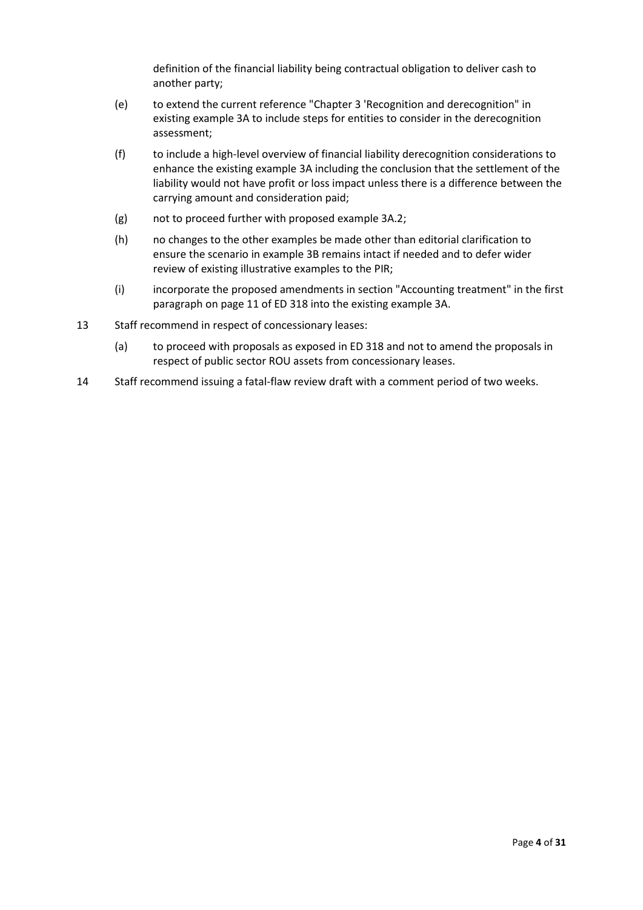definition of the financial liability being contractual obligation to deliver cash to another party;

- (e) to extend the current reference "Chapter 3 'Recognition and derecognition" in existing example 3A to include steps for entities to consider in the derecognition assessment;
- (f) to include a high-level overview of financial liability derecognition considerations to enhance the existing example 3A including the conclusion that the settlement of the liability would not have profit or loss impact unless there is a difference between the carrying amount and consideration paid;
- (g) not to proceed further with proposed example 3A.2;
- (h) no changes to the other examples be made other than editorial clarification to ensure the scenario in example 3B remains intact if needed and to defer wider review of existing illustrative examples to the PIR;
- (i) incorporate the proposed amendments in section "Accounting treatment" in the first paragraph on page 11 of ED 318 into the existing example 3A.
- <span id="page-3-1"></span>13 Staff recommend in respect of concessionary leases:
	- (a) to proceed with proposals as exposed in ED 318 and not to amend the proposals in respect of public sector ROU assets from concessionary leases.
- <span id="page-3-0"></span>14 Staff recommend issuing a fatal-flaw review draft with a comment period of two weeks.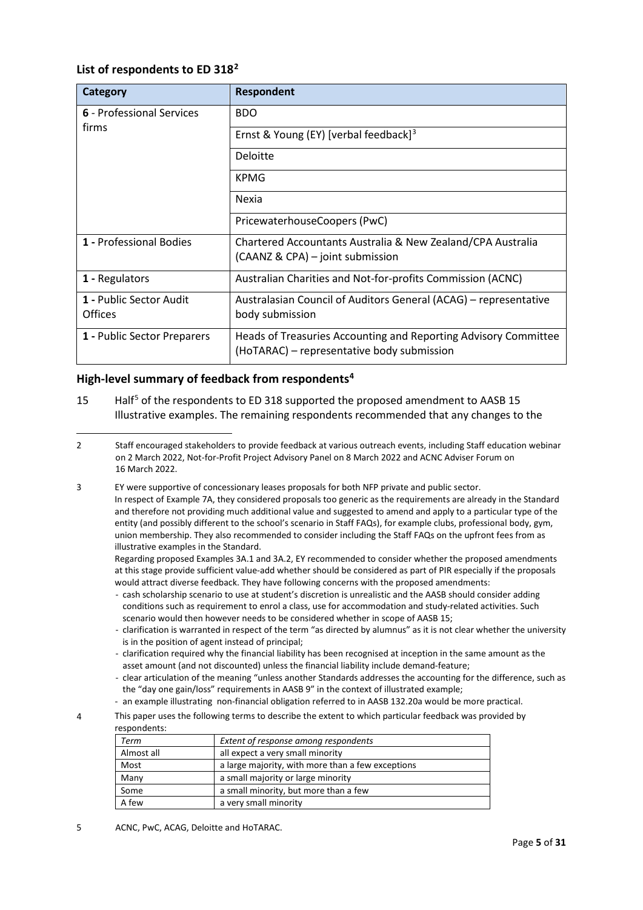## <span id="page-4-0"></span>**List of respondents to ED 318[2](#page-4-3)**

| Category                                  | <b>Respondent</b>                                                                                             |
|-------------------------------------------|---------------------------------------------------------------------------------------------------------------|
| 6 - Professional Services                 | <b>BDO</b>                                                                                                    |
| firms                                     | Ernst & Young (EY) [verbal feedback] <sup>3</sup>                                                             |
|                                           | Deloitte                                                                                                      |
|                                           | <b>KPMG</b>                                                                                                   |
|                                           | Nexia                                                                                                         |
|                                           | PricewaterhouseCoopers (PwC)                                                                                  |
| 1 - Professional Bodies                   | Chartered Accountants Australia & New Zealand/CPA Australia<br>(CAANZ & CPA) – joint submission               |
| 1 - Regulators                            | Australian Charities and Not-for-profits Commission (ACNC)                                                    |
| 1 - Public Sector Audit<br><b>Offices</b> | Australasian Council of Auditors General (ACAG) – representative<br>body submission                           |
| 1 - Public Sector Preparers               | Heads of Treasuries Accounting and Reporting Advisory Committee<br>(HoTARAC) - representative body submission |

## <span id="page-4-1"></span>**High-level summary of feedback from respondents[4](#page-4-5)**

- <span id="page-4-2"></span>1[5](#page-4-6) Half<sup>5</sup> of the respondents to ED 318 supported the proposed amendment to AASB 15 Illustrative examples. The remaining respondents recommended that any changes to the
- <span id="page-4-3"></span>2 Staff encouraged stakeholders to provide feedback at various outreach events, including Staff education webinar on 2 March 2022, Not-for-Profit Project Advisory Panel on 8 March 2022 and ACNC Adviser Forum on 16 March 2022.
- <span id="page-4-4"></span>3 EY were supportive of concessionary leases proposals for both NFP private and public sector. In respect of Example 7A, they considered proposals too generic as the requirements are already in the Standard and therefore not providing much additional value and suggested to amend and apply to a particular type of the entity (and possibly different to the school's scenario in Staff FAQs), for example clubs, professional body, gym, union membership. They also recommended to consider including the Staff FAQs on the upfront fees from as illustrative examples in the Standard.

Regarding proposed Examples 3A.1 and 3A.2, EY recommended to consider whether the proposed amendments at this stage provide sufficient value-add whether should be considered as part of PIR especially if the proposals would attract diverse feedback. They have following concerns with the proposed amendments:

- cash scholarship scenario to use at student's discretion is unrealistic and the AASB should consider adding conditions such as requirement to enrol a class, use for accommodation and study-related activities. Such scenario would then however needs to be considered whether in scope of AASB 15;
- clarification is warranted in respect of the term "as directed by alumnus" as it is not clear whether the university is in the position of agent instead of principal;
- clarification required why the financial liability has been recognised at inception in the same amount as the asset amount (and not discounted) unless the financial liability include demand-feature;
- clear articulation of the meaning "unless another Standards addresses the accounting for the difference, such as the "day one gain/loss" requirements in AASB 9" in the context of illustrated example;
- an example illustrating non-financial obligation referred to in AASB 132.20a would be more practical.
- <span id="page-4-5"></span>4 This paper uses the following terms to describe the extent to which particular feedback was provided by respondents:

| Term       | Extent of response among respondents              |
|------------|---------------------------------------------------|
| Almost all | all expect a very small minority                  |
| Most       | a large majority, with more than a few exceptions |
| Many       | a small majority or large minority                |
| Some       | a small minority, but more than a few             |
| A few      | a very small minority                             |

<span id="page-4-6"></span>5 ACNC, PwC, ACAG, Deloitte and HoTARAC.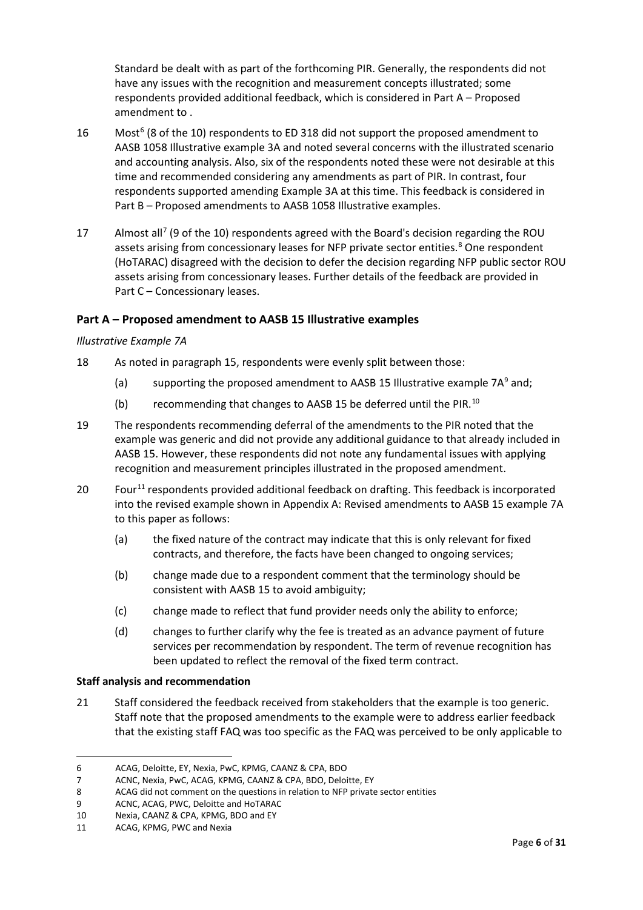Standard be dealt with as part of the forthcoming PIR. Generally, the respondents did not have any issues with the recognition and measurement concepts illustrated; some respondents provided additional feedback, which is considered in Part A – [Proposed](#page-5-2)  [amendment to .](#page-5-2)

- <span id="page-5-9"></span>1[6](#page-5-3) Most<sup>6</sup> (8 of the 10) respondents to ED 318 did not support the proposed amendment to AASB 1058 Illustrative example 3A and noted several concerns with the illustrated scenario and accounting analysis. Also, six of the respondents noted these were not desirable at this time and recommended considering any amendments as part of PIR. In contrast, four respondents supported amending Example 3A at this time. This feedback is considered in Part B – [Proposed amendments to AASB 1058 Illustrative examples.](#page-7-1)
- <span id="page-5-0"></span>1[7](#page-5-4) Almost all<sup>7</sup> (9 of the 10) respondents agreed with the Board's decision regarding the ROU assets arising from concessionary leases for NFP private sector entities. [8](#page-5-5) One respondent (HoTARAC) disagreed with the decision to defer the decision regarding NFP public sector ROU assets arising from concessionary leases. Further details of the feedback are provided in Part C – [Concessionary leases.](#page-23-1)

## <span id="page-5-2"></span>**Part A – Proposed amendment to AASB 15 Illustrative examples**

## *Illustrative Example 7A*

- <span id="page-5-1"></span>18 As noted in paragraph [15,](#page-4-2) respondents were evenly split between those:
	- (a) supporting the proposed amendment to AASB 15 Illustrative example  $7A<sup>9</sup>$  $7A<sup>9</sup>$  $7A<sup>9</sup>$  and;
	- (b) recommending that changes to AASB 15 be deferred until the PIR.<sup>[10](#page-5-7)</sup>
- 19 The respondents recommending deferral of the amendments to the PIR noted that the example was generic and did not provide any additional guidance to that already included in AASB 15. However, these respondents did not note any fundamental issues with applying recognition and measurement principles illustrated in the proposed amendment.
- 20 Four<sup>[11](#page-5-8)</sup> respondents provided additional feedback on drafting. This feedback is incorporated into the revised example shown in [Appendix A: Revised amendments to AASB 15 example 7A](#page-27-0) to this paper as follows:
	- (a) the fixed nature of the contract may indicate that this is only relevant for fixed contracts, and therefore, the facts have been changed to ongoing services;
	- (b) change made due to a respondent comment that the terminology should be consistent with AASB 15 to avoid ambiguity;
	- (c) change made to reflect that fund provider needs only the ability to enforce;
	- (d) changes to further clarify why the fee is treated as an advance payment of future services per recommendation by respondent. The term of revenue recognition has been updated to reflect the removal of the fixed term contract.

## **Staff analysis and recommendation**

21 Staff considered the feedback received from stakeholders that the example is too generic. Staff note that the proposed amendments to the example were to address earlier feedback that the existing staff FAQ was too specific as the FAQ was perceived to be only applicable to

<span id="page-5-3"></span><sup>6</sup> ACAG, Deloitte, EY, Nexia, PwC, KPMG, CAANZ & CPA, BDO

<span id="page-5-4"></span><sup>7</sup> ACNC, Nexia, PwC, ACAG, KPMG, CAANZ & CPA, BDO, Deloitte, EY

<span id="page-5-5"></span><sup>8</sup> ACAG did not comment on the questions in relation to NFP private sector entities

<span id="page-5-6"></span><sup>9</sup> ACNC, ACAG, PWC, Deloitte and HoTARAC

<span id="page-5-7"></span><sup>10</sup> Nexia, CAANZ & CPA, KPMG, BDO and EY

<span id="page-5-8"></span><sup>11</sup> ACAG, KPMG, PWC and Nexia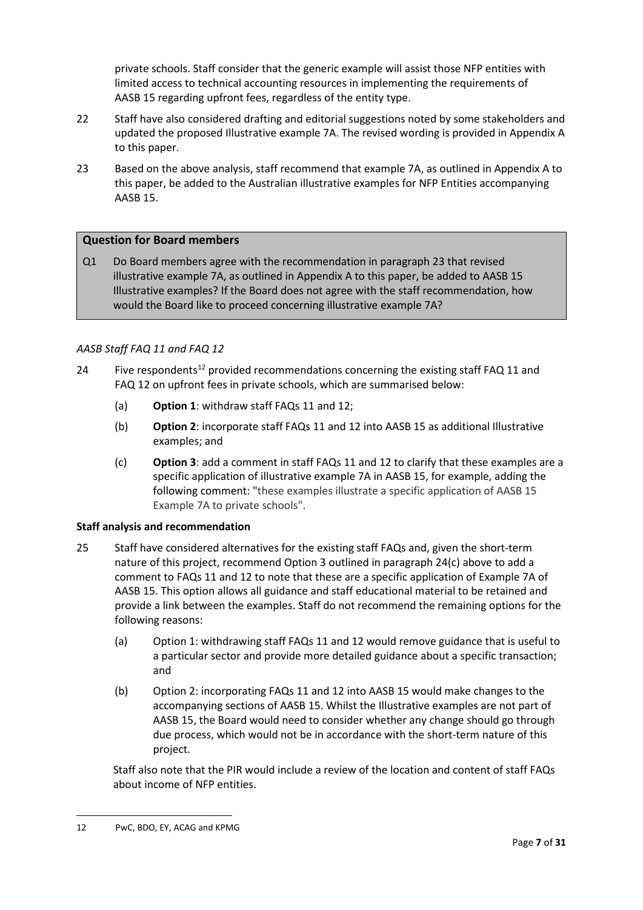private schools. Staff consider that the generic example will assist those NFP entities with limited access to technical accounting resources in implementing the requirements of AASB 15 regarding upfront fees, regardless of the entity type.

- 22 Staff have also considered drafting and editorial suggestions noted by some stakeholders and updated the proposed Illustrative example 7A. The revised wording is provided in Appendix A to this paper.
- <span id="page-6-2"></span>23 Based on the above analysis, staff recommend that example 7A, as outlined in Appendix A to this paper, be added to the Australian illustrative examples for NFP Entities accompanying AASB 15.

## **Question for Board members**

Q1 Do Board members agree with the recommendation in paragrap[h 23](#page-6-2) that revised illustrative example 7A, as outlined in Appendix A to this paper, be added to AASB 15 Illustrative examples? If the Board does not agree with the staff recommendation, how would the Board like to proceed concerning illustrative example 7A?

## *AASB Staff FAQ 11 and FAQ 12*

- 24 Five respondents<sup>[12](#page-6-3)</sup> provided recommendations concerning the existing staff FAQ 11 and FAQ 12 on upfront fees in private schools, which are summarised below:
	- (a) **Option 1**: withdraw staff FAQs 11 and 12;
	- (b) **Option 2**: incorporate staff FAQs 11 and 12 into AASB 15 as additional Illustrative examples; and
	- (c) **Option 3**: add a comment in staff FAQs 11 and 12 to clarify that these examples are a specific application of illustrative example 7A in AASB 15, for example, adding the following comment: "these examples illustrate a specific application of AASB 15 Example 7A to private schools".

## <span id="page-6-1"></span>**Staff analysis and recommendation**

- <span id="page-6-0"></span>25 Staff have considered alternatives for the existing staff FAQs and, given the short-term nature of this project, recommend Option 3 outlined in paragraph 24(c) above to add a comment to FAQs 11 and 12 to note that these are a specific application of Example 7A of AASB 15. This option allows all guidance and staff educational material to be retained and provide a link between the examples. Staff do not recommend the remaining options for the following reasons:
	- (a) Option 1: withdrawing staff FAQs 11 and 12 would remove guidance that is useful to a particular sector and provide more detailed guidance about a specific transaction; and
	- (b) Option 2: incorporating FAQs 11 and 12 into AASB 15 would make changes to the accompanying sections of AASB 15. Whilst the Illustrative examples are not part of AASB 15, the Board would need to consider whether any change should go through due process, which would not be in accordance with the short-term nature of this project.

<span id="page-6-3"></span>Staff also note that the PIR would include a review of the location and content of staff FAQs about income of NFP entities.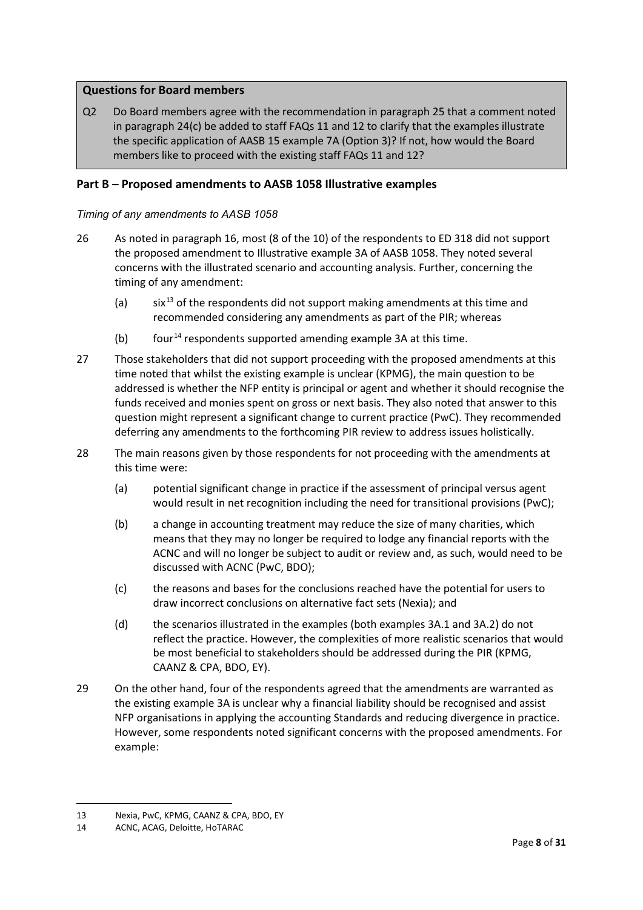## **Questions for Board members**

Q2 Do Board members agree with the recommendation in paragrap[h 25](#page-6-0) that a comment noted in paragraph [24\(c\)](#page-6-1) be added to staff FAQs 11 and 12 to clarify that the examples illustrate the specific application of AASB 15 example 7A (Option 3)? If not, how would the Board members like to proceed with the existing staff FAQs 11 and 12?

## <span id="page-7-1"></span>**Part B – Proposed amendments to AASB 1058 Illustrative examples**

## *Timing of any amendments to AASB 1058*

- <span id="page-7-0"></span>26 As noted in paragraph [16,](#page-5-9) most (8 of the 10) of the respondents to ED 318 did not support the proposed amendment to Illustrative example 3A of AASB 1058. They noted several concerns with the illustrated scenario and accounting analysis. Further, concerning the timing of any amendment:
	- (a) six<sup>[13](#page-7-2)</sup> of the respondents did not support making amendments at this time and recommended considering any amendments as part of the PIR; whereas
	- (b) four<sup>[14](#page-7-3)</sup> respondents supported amending example 3A at this time.
- 27 Those stakeholders that did not support proceeding with the proposed amendments at this time noted that whilst the existing example is unclear (KPMG), the main question to be addressed is whether the NFP entity is principal or agent and whether it should recognise the funds received and monies spent on gross or next basis. They also noted that answer to this question might represent a significant change to current practice (PwC). They recommended deferring any amendments to the forthcoming PIR review to address issues holistically.
- 28 The main reasons given by those respondents for not proceeding with the amendments at this time were:
	- (a) potential significant change in practice if the assessment of principal versus agent would result in net recognition including the need for transitional provisions (PwC);
	- (b) a change in accounting treatment may reduce the size of many charities, which means that they may no longer be required to lodge any financial reports with the ACNC and will no longer be subject to audit or review and, as such, would need to be discussed with ACNC (PwC, BDO);
	- (c) the reasons and bases for the conclusions reached have the potential for users to draw incorrect conclusions on alternative fact sets (Nexia); and
	- (d) the scenarios illustrated in the examples (both examples 3A.1 and 3A.2) do not reflect the practice. However, the complexities of more realistic scenarios that would be most beneficial to stakeholders should be addressed during the PIR (KPMG, CAANZ & CPA, BDO, EY).
- 29 On the other hand, four of the respondents agreed that the amendments are warranted as the existing example 3A is unclear why a financial liability should be recognised and assist NFP organisations in applying the accounting Standards and reducing divergence in practice. However, some respondents noted significant concerns with the proposed amendments. For example:

<span id="page-7-2"></span><sup>13</sup> Nexia, PwC, KPMG, CAANZ & CPA, BDO, EY

<span id="page-7-3"></span><sup>14</sup> ACNC, ACAG, Deloitte, HoTARAC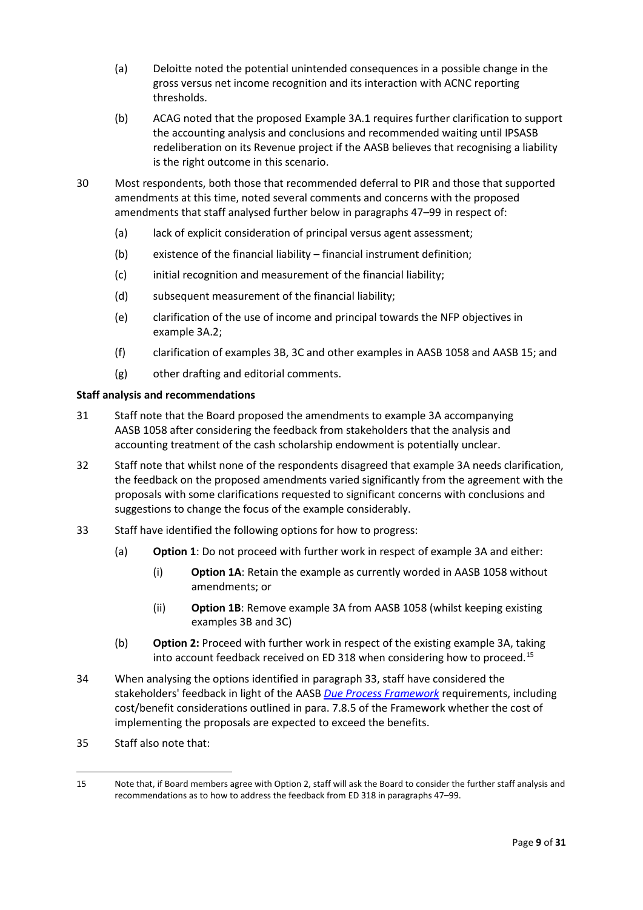- (a) Deloitte noted the potential unintended consequences in a possible change in the gross versus net income recognition and its interaction with ACNC reporting thresholds.
- (b) ACAG noted that the proposed Example 3A.1 requires further clarification to support the accounting analysis and conclusions and recommended waiting until IPSASB redeliberation on its Revenue project if the AASB believes that recognising a liability is the right outcome in this scenario.
- 30 Most respondents, both those that recommended deferral to PIR and those that supported amendments at this time, noted several comments and concerns with the proposed amendments that staff analysed further below in paragraphs [47](#page-12-0)[–99](#page-22-0) in respect of:
	- (a) lack of explicit consideration of principal versus agent assessment;
	- (b) existence of the financial liability financial instrument definition;
	- (c) initial recognition and measurement of the financial liability;
	- (d) subsequent measurement of the financial liability;
	- (e) clarification of the use of income and principal towards the NFP objectives in example 3A.2;
	- (f) clarification of examples 3B, 3C and other examples in AASB 1058 and AASB 15; and
	- (g) other drafting and editorial comments.

## **Staff analysis and recommendations**

- 31 Staff note that the Board proposed the amendments to example 3A accompanying AASB 1058 after considering the feedback from stakeholders that the analysis and accounting treatment of the cash scholarship endowment is potentially unclear.
- 32 Staff note that whilst none of the respondents disagreed that example 3A needs clarification, the feedback on the proposed amendments varied significantly from the agreement with the proposals with some clarifications requested to significant concerns with conclusions and suggestions to change the focus of the example considerably.
- <span id="page-8-0"></span>33 Staff have identified the following options for how to progress:
	- (a) **Option 1**: Do not proceed with further work in respect of example 3A and either:
		- (i) **Option 1A**: Retain the example as currently worded in AASB 1058 without amendments; or
		- (ii) **Option 1B**: Remove example 3A from AASB 1058 (whilst keeping existing examples 3B and 3C)
	- (b) **Option 2:** Proceed with further work in respect of the existing example 3A, taking into account feedback received on ED 318 when considering how to proceed. [15](#page-8-1)
- 34 When analysing the options identified in paragraph [33,](#page-8-0) staff have considered the stakeholders' feedback in light of the AASB *[Due Process Framework](https://aasb.gov.au/media/mhzotzp4/aasb_nfp_stdsetting_fwk_07-21.pdf)* requirements, including cost/benefit considerations outlined in para. 7.8.5 of the Framework whether the cost of implementing the proposals are expected to exceed the benefits.
- 35 Staff also note that:

<span id="page-8-1"></span><sup>15</sup> Note that, if Board members agree with Option 2, staff will ask the Board to consider the further staff analysis and recommendations as to how to address the feedback from ED 318 in paragraph[s 47–](#page-12-0)[99.](#page-22-0)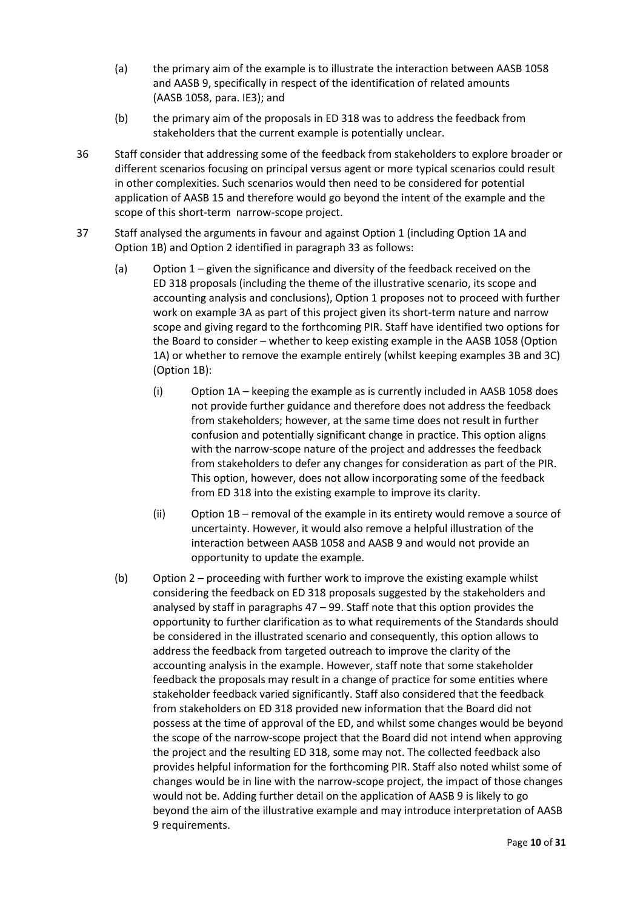- (a) the primary aim of the example is to illustrate the interaction between AASB 1058 and AASB 9, specifically in respect of the identification of related amounts (AASB 1058, para. IE3); and
- (b) the primary aim of the proposals in ED 318 was to address the feedback from stakeholders that the current example is potentially unclear.
- 36 Staff consider that addressing some of the feedback from stakeholders to explore broader or different scenarios focusing on principal versus agent or more typical scenarios could result in other complexities. Such scenarios would then need to be considered for potential application of AASB 15 and therefore would go beyond the intent of the example and the scope of this short-term narrow-scope project.
- 37 Staff analysed the arguments in favour and against Option 1 (including Option 1A and Option 1B) and Option 2 identified in paragraph [33](#page-8-0) as follows:
	- (a) Option 1 given the significance and diversity of the feedback received on the ED 318 proposals (including the theme of the illustrative scenario, its scope and accounting analysis and conclusions), Option 1 proposes not to proceed with further work on example 3A as part of this project given its short-term nature and narrow scope and giving regard to the forthcoming PIR. Staff have identified two options for the Board to consider – whether to keep existing example in the AASB 1058 (Option 1A) or whether to remove the example entirely (whilst keeping examples 3B and 3C) (Option 1B):
		- (i) Option 1A keeping the example as is currently included in AASB 1058 does not provide further guidance and therefore does not address the feedback from stakeholders; however, at the same time does not result in further confusion and potentially significant change in practice. This option aligns with the narrow-scope nature of the project and addresses the feedback from stakeholders to defer any changes for consideration as part of the PIR. This option, however, does not allow incorporating some of the feedback from ED 318 into the existing example to improve its clarity.
		- (ii) Option 1B removal of the example in its entirety would remove a source of uncertainty. However, it would also remove a helpful illustration of the interaction between AASB 1058 and AASB 9 and would not provide an opportunity to update the example.
	- (b) Option 2 proceeding with further work to improve the existing example whilst considering the feedback on ED 318 proposals suggested by the stakeholders and analysed by staff in paragraphs [47](#page-12-0) – [99.](#page-22-0) Staff note that this option provides the opportunity to further clarification as to what requirements of the Standards should be considered in the illustrated scenario and consequently, this option allows to address the feedback from targeted outreach to improve the clarity of the accounting analysis in the example. However, staff note that some stakeholder feedback the proposals may result in a change of practice for some entities where stakeholder feedback varied significantly. Staff also considered that the feedback from stakeholders on ED 318 provided new information that the Board did not possess at the time of approval of the ED, and whilst some changes would be beyond the scope of the narrow-scope project that the Board did not intend when approving the project and the resulting ED 318, some may not. The collected feedback also provides helpful information for the forthcoming PIR. Staff also noted whilst some of changes would be in line with the narrow-scope project, the impact of those changes would not be. Adding further detail on the application of AASB 9 is likely to go beyond the aim of the illustrative example and may introduce interpretation of AASB 9 requirements.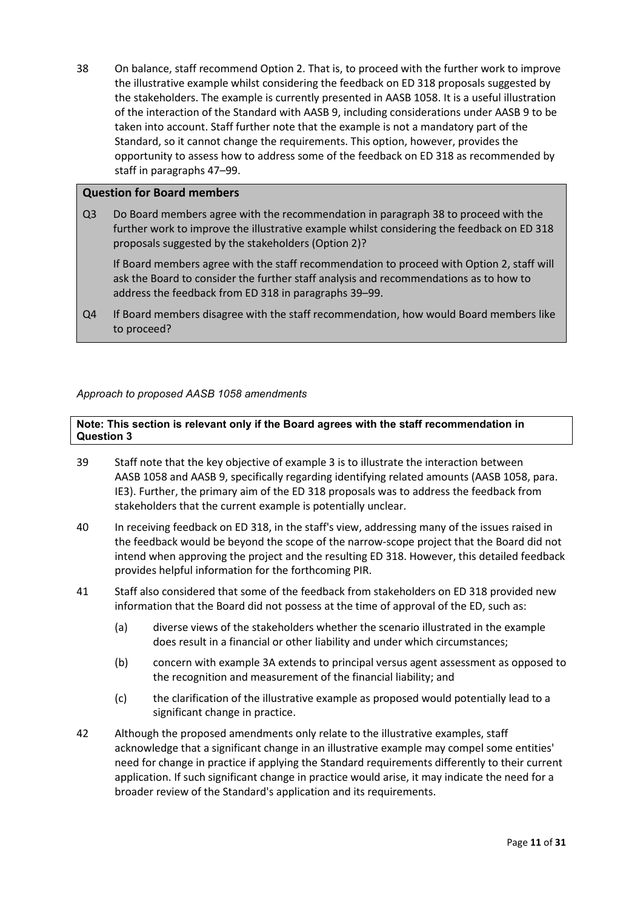<span id="page-10-0"></span>38 On balance, staff recommend Option 2. That is, to proceed with the further work to improve the illustrative example whilst considering the feedback on ED 318 proposals suggested by the stakeholders. The example is currently presented in AASB 1058. It is a useful illustration of the interaction of the Standard with AASB 9, including considerations under AASB 9 to be taken into account. Staff further note that the example is not a mandatory part of the Standard, so it cannot change the requirements. This option, however, provides the opportunity to assess how to address some of the feedback on ED 318 as recommended by staff in paragraphs [47–](#page-12-0)[99.](#page-22-0)

### **Question for Board members**

Q3 Do Board members agree with the recommendation in paragrap[h 38](#page-10-0) to proceed with the further work to improve the illustrative example whilst considering the feedback on ED 318 proposals suggested by the stakeholders (Option 2)?

If Board members agree with the staff recommendation to proceed with Option 2, staff will ask the Board to consider the further staff analysis and recommendations as to how to address the feedback from ED 318 in paragraph[s 39–](#page-10-1)[99.](#page-22-0)

Q4 If Board members disagree with the staff recommendation, how would Board members like to proceed?

#### *Approach to proposed AASB 1058 amendments*

**Note: This section is relevant only if the Board agrees with the staff recommendation in Question 3**

- <span id="page-10-1"></span>39 Staff note that the key objective of example 3 is to illustrate the interaction between AASB 1058 and AASB 9, specifically regarding identifying related amounts (AASB 1058, para. IE3). Further, the primary aim of the ED 318 proposals was to address the feedback from stakeholders that the current example is potentially unclear.
- 40 In receiving feedback on ED 318, in the staff's view, addressing many of the issues raised in the feedback would be beyond the scope of the narrow-scope project that the Board did not intend when approving the project and the resulting ED 318. However, this detailed feedback provides helpful information for the forthcoming PIR.
- 41 Staff also considered that some of the feedback from stakeholders on ED 318 provided new information that the Board did not possess at the time of approval of the ED, such as:
	- (a) diverse views of the stakeholders whether the scenario illustrated in the example does result in a financial or other liability and under which circumstances;
	- (b) concern with example 3A extends to principal versus agent assessment as opposed to the recognition and measurement of the financial liability; and
	- (c) the clarification of the illustrative example as proposed would potentially lead to a significant change in practice.
- 42 Although the proposed amendments only relate to the illustrative examples, staff acknowledge that a significant change in an illustrative example may compel some entities' need for change in practice if applying the Standard requirements differently to their current application. If such significant change in practice would arise, it may indicate the need for a broader review of the Standard's application and its requirements.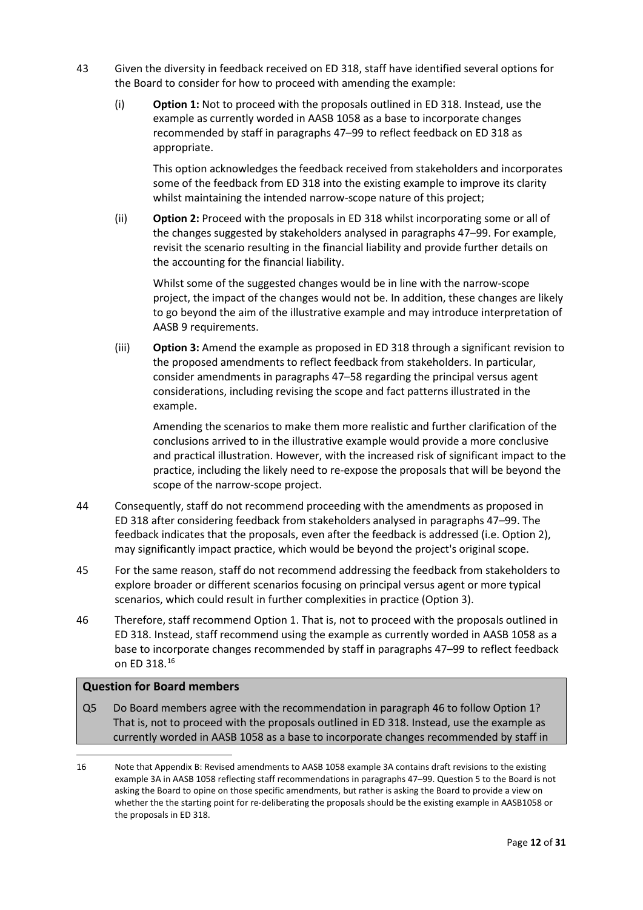- <span id="page-11-2"></span>43 Given the diversity in feedback received on ED 318, staff have identified several options for the Board to consider for how to proceed with amending the example:
	- (i) **Option 1:** Not to proceed with the proposals outlined in ED 318. Instead, use the example as currently worded in AASB 1058 as a base to incorporate changes recommended by staff in paragraphs [47–](#page-12-0)[99](#page-22-0) to reflect feedback on ED 318 as appropriate.

This option acknowledges the feedback received from stakeholders and incorporates some of the feedback from ED 318 into the existing example to improve its clarity whilst maintaining the intended narrow-scope nature of this project;

(ii) **Option 2:** Proceed with the proposals in ED 318 whilst incorporating some or all of the changes suggested by stakeholders analysed in paragraphs [47–](#page-12-0)[99.](#page-22-0) For example, revisit the scenario resulting in the financial liability and provide further details on the accounting for the financial liability.

Whilst some of the suggested changes would be in line with the narrow-scope project, the impact of the changes would not be. In addition, these changes are likely to go beyond the aim of the illustrative example and may introduce interpretation of AASB 9 requirements.

(iii) **Option 3:** Amend the example as proposed in ED 318 through a significant revision to the proposed amendments to reflect feedback from stakeholders. In particular, consider amendments in paragraph[s 47](#page-12-0)[–58](#page-14-0) regarding the principal versus agent considerations, including revising the scope and fact patterns illustrated in the example.

Amending the scenarios to make them more realistic and further clarification of the conclusions arrived to in the illustrative example would provide a more conclusive and practical illustration. However, with the increased risk of significant impact to the practice, including the likely need to re-expose the proposals that will be beyond the scope of the narrow-scope project.

- 44 Consequently, staff do not recommend proceeding with the amendments as proposed in ED 318 after considering feedback from stakeholders analysed in paragraphs [47](#page-12-0)[–99.](#page-22-0) The feedback indicates that the proposals, even after the feedback is addressed (i.e. Option 2), may significantly impact practice, which would be beyond the project's original scope.
- 45 For the same reason, staff do not recommend addressing the feedback from stakeholders to explore broader or different scenarios focusing on principal versus agent or more typical scenarios, which could result in further complexities in practice (Option 3).
- <span id="page-11-0"></span>46 Therefore, staff recommend Option 1. That is, not to proceed with the proposals outlined in ED 318. Instead, staff recommend using the example as currently worded in AASB 1058 as a base to incorporate changes recommended by staff in paragraphs [47](#page-12-0)[–99](#page-22-0) to reflect feedback on ED 318. [16](#page-11-1)

## **Question for Board members**

Q5 Do Board members agree with the recommendation in paragraph [46](#page-11-0) to follow Option 1? That is, not to proceed with the proposals outlined in ED 318. Instead, use the example as currently worded in AASB 1058 as a base to incorporate changes recommended by staff in

<span id="page-11-1"></span><sup>16</sup> Note tha[t Appendix B: Revised amendments to AASB 1058 example 3A](#page-29-0) contains draft revisions to the existing example 3A in AASB 1058 reflecting staff recommendations in paragraphs [47](#page-12-0)[–99.](#page-22-0) Question 5 to the Board is not asking the Board to opine on those specific amendments, but rather is asking the Board to provide a view on whether the the starting point for re-deliberating the proposals should be the existing example in AASB1058 or the proposals in ED 318.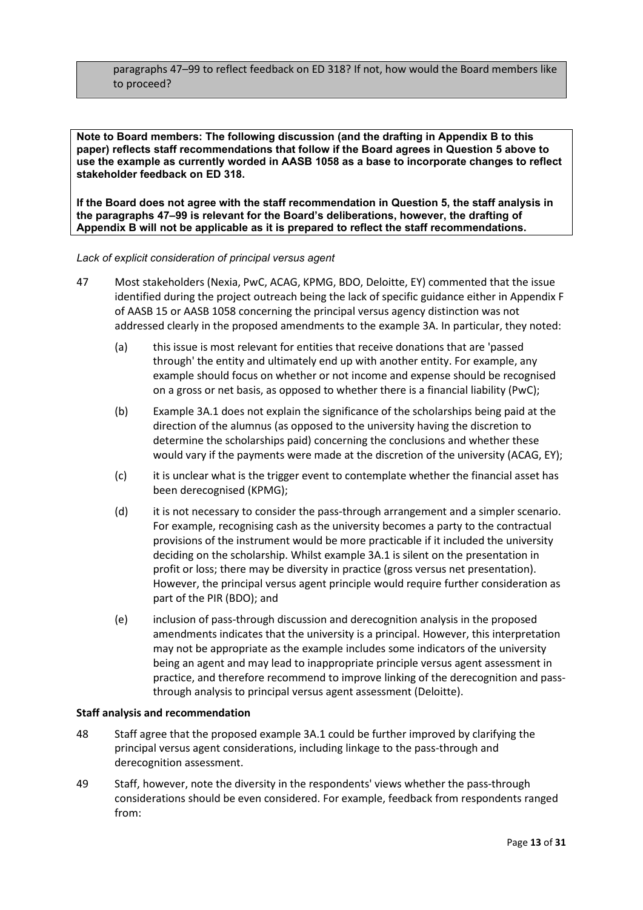paragraph[s 47](#page-12-0)[–99](#page-22-0) to reflect feedback on ED 318? If not, how would the Board members like to proceed?

**Note to Board members: The following discussion (and the drafting in Appendix B to this paper) reflects staff recommendations that follow if the Board agrees in Question 5 above to use the example as currently worded in AASB 1058 as a base to incorporate changes to reflect stakeholder feedback on ED 318.** 

**If the Board does not agree with the staff recommendation in Question 5, the staff analysis in the paragraphs [47](#page-12-0)[–99](#page-22-0) is relevant for the Board's deliberations, however, the drafting of Appendix B will not be applicable as it is prepared to reflect the staff recommendations.** 

#### *Lack of explicit consideration of principal versus agent*

- <span id="page-12-0"></span>47 Most stakeholders (Nexia, PwC, ACAG, KPMG, BDO, Deloitte, EY) commented that the issue identified during the project outreach being the lack of specific guidance either in Appendix F of AASB 15 or AASB 1058 concerning the principal versus agency distinction was not addressed clearly in the proposed amendments to the example 3A. In particular, they noted:
	- (a) this issue is most relevant for entities that receive donations that are 'passed through' the entity and ultimately end up with another entity. For example, any example should focus on whether or not income and expense should be recognised on a gross or net basis, as opposed to whether there is a financial liability (PwC);
	- (b) Example 3A.1 does not explain the significance of the scholarships being paid at the direction of the alumnus (as opposed to the university having the discretion to determine the scholarships paid) concerning the conclusions and whether these would vary if the payments were made at the discretion of the university (ACAG, EY);
	- (c) it is unclear what is the trigger event to contemplate whether the financial asset has been derecognised (KPMG);
	- (d) it is not necessary to consider the pass-through arrangement and a simpler scenario. For example, recognising cash as the university becomes a party to the contractual provisions of the instrument would be more practicable if it included the university deciding on the scholarship. Whilst example 3A.1 is silent on the presentation in profit or loss; there may be diversity in practice (gross versus net presentation). However, the principal versus agent principle would require further consideration as part of the PIR (BDO); and
	- (e) inclusion of pass-through discussion and derecognition analysis in the proposed amendments indicates that the university is a principal. However, this interpretation may not be appropriate as the example includes some indicators of the university being an agent and may lead to inappropriate principle versus agent assessment in practice, and therefore recommend to improve linking of the derecognition and passthrough analysis to principal versus agent assessment (Deloitte).

#### **Staff analysis and recommendation**

- 48 Staff agree that the proposed example 3A.1 could be further improved by clarifying the principal versus agent considerations, including linkage to the pass-through and derecognition assessment.
- 49 Staff, however, note the diversity in the respondents' views whether the pass-through considerations should be even considered. For example, feedback from respondents ranged from: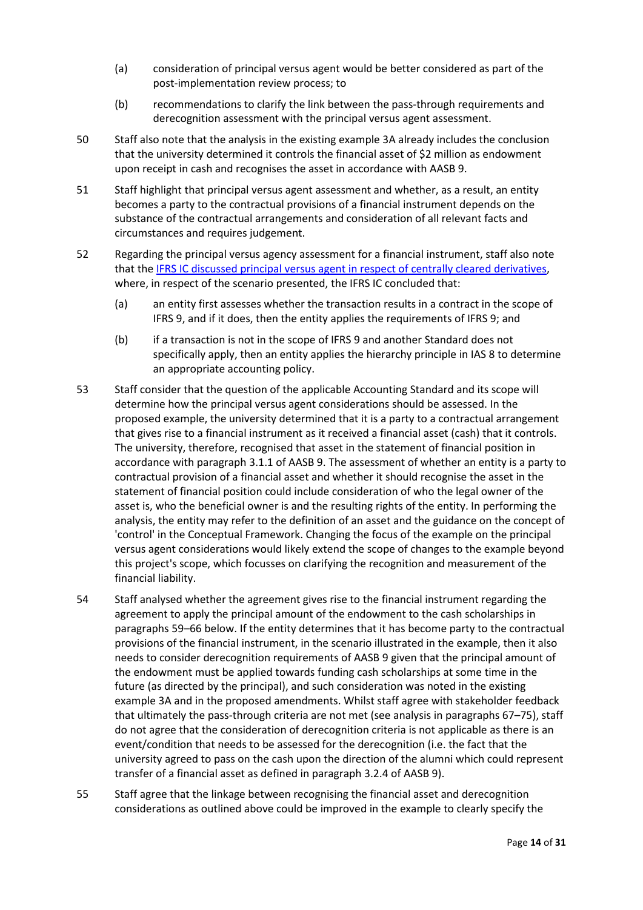- (a) consideration of principal versus agent would be better considered as part of the post-implementation review process; to
- (b) recommendations to clarify the link between the pass-through requirements and derecognition assessment with the principal versus agent assessment.
- 50 Staff also note that the analysis in the existing example 3A already includes the conclusion that the university determined it controls the financial asset of \$2 million as endowment upon receipt in cash and recognises the asset in accordance with AASB 9.
- 51 Staff highlight that principal versus agent assessment and whether, as a result, an entity becomes a party to the contractual provisions of a financial instrument depends on the substance of the contractual arrangements and consideration of all relevant facts and circumstances and requires judgement.
- 52 Regarding the principal versus agency assessment for a financial instrument, staff also note that th[e IFRS IC discussed principal versus agent in respect of centrally cleared derivatives,](https://www.ifrs.org/content/dam/ifrs/supporting-implementation/agenda-decisions/2017/ifrs-9-centrally-cleared-client-derivatives-june-2017.pdf) where, in respect of the scenario presented, the IFRS IC concluded that:
	- (a) an entity first assesses whether the transaction results in a contract in the scope of IFRS 9, and if it does, then the entity applies the requirements of IFRS 9; and
	- (b) if a transaction is not in the scope of IFRS 9 and another Standard does not specifically apply, then an entity applies the hierarchy principle in IAS 8 to determine an appropriate accounting policy.
- 53 Staff consider that the question of the applicable Accounting Standard and its scope will determine how the principal versus agent considerations should be assessed. In the proposed example, the university determined that it is a party to a contractual arrangement that gives rise to a financial instrument as it received a financial asset (cash) that it controls. The university, therefore, recognised that asset in the statement of financial position in accordance with paragraph 3.1.1 of AASB 9. The assessment of whether an entity is a party to contractual provision of a financial asset and whether it should recognise the asset in the statement of financial position could include consideration of who the legal owner of the asset is, who the beneficial owner is and the resulting rights of the entity. In performing the analysis, the entity may refer to the definition of an asset and the guidance on the concept of 'control' in the Conceptual Framework. Changing the focus of the example on the principal versus agent considerations would likely extend the scope of changes to the example beyond this project's scope, which focusses on clarifying the recognition and measurement of the financial liability.
- <span id="page-13-0"></span>54 Staff analysed whether the agreement gives rise to the financial instrument regarding the agreement to apply the principal amount of the endowment to the cash scholarships in paragraphs [59–](#page-14-1)[66](#page-15-0) below. If the entity determines that it has become party to the contractual provisions of the financial instrument, in the scenario illustrated in the example, then it also needs to consider derecognition requirements of AASB 9 given that the principal amount of the endowment must be applied towards funding cash scholarships at some time in the future (as directed by the principal), and such consideration was noted in the existing example 3A and in the proposed amendments. Whilst staff agree with stakeholder feedback that ultimately the pass-through criteria are not met (see analysis in paragraphs [67–](#page-15-1)[75\)](#page-17-0), staff do not agree that the consideration of derecognition criteria is not applicable as there is an event/condition that needs to be assessed for the derecognition (i.e. the fact that the university agreed to pass on the cash upon the direction of the alumni which could represent transfer of a financial asset as defined in paragraph 3.2.4 of AASB 9).
- 55 Staff agree that the linkage between recognising the financial asset and derecognition considerations as outlined above could be improved in the example to clearly specify the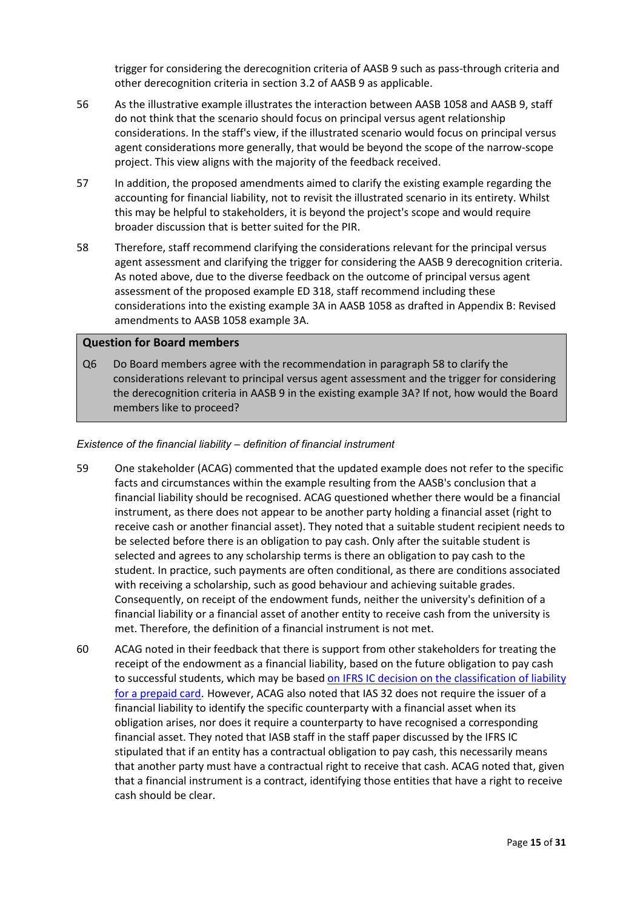trigger for considering the derecognition criteria of AASB 9 such as pass-through criteria and other derecognition criteria in section 3.2 of AASB 9 as applicable.

- 56 As the illustrative example illustrates the interaction between AASB 1058 and AASB 9, staff do not think that the scenario should focus on principal versus agent relationship considerations. In the staff's view, if the illustrated scenario would focus on principal versus agent considerations more generally, that would be beyond the scope of the narrow-scope project. This view aligns with the majority of the feedback received.
- 57 In addition, the proposed amendments aimed to clarify the existing example regarding the accounting for financial liability, not to revisit the illustrated scenario in its entirety. Whilst this may be helpful to stakeholders, it is beyond the project's scope and would require broader discussion that is better suited for the PIR.
- <span id="page-14-0"></span>58 Therefore, staff recommend clarifying the considerations relevant for the principal versus agent assessment and clarifying the trigger for considering the AASB 9 derecognition criteria. As noted above, due to the diverse feedback on the outcome of principal versus agent assessment of the proposed example ED 318, staff recommend including these considerations into the existing example 3A in AASB 1058 as drafted in [Appendix B: Revised](#page-29-0)  [amendments to AASB 1058 example 3A.](#page-29-0)

#### **Question for Board members**

Q6 Do Board members agree with the recommendation in paragrap[h 58](#page-14-0) to clarify the considerations relevant to principal versus agent assessment and the trigger for considering the derecognition criteria in AASB 9 in the existing example 3A? If not, how would the Board members like to proceed?

#### *Existence of the financial liability – definition of financial instrument*

- <span id="page-14-1"></span>59 One stakeholder (ACAG) commented that the updated example does not refer to the specific facts and circumstances within the example resulting from the AASB's conclusion that a financial liability should be recognised. ACAG questioned whether there would be a financial instrument, as there does not appear to be another party holding a financial asset (right to receive cash or another financial asset). They noted that a suitable student recipient needs to be selected before there is an obligation to pay cash. Only after the suitable student is selected and agrees to any scholarship terms is there an obligation to pay cash to the student. In practice, such payments are often conditional, as there are conditions associated with receiving a scholarship, such as good behaviour and achieving suitable grades. Consequently, on receipt of the endowment funds, neither the university's definition of a financial liability or a financial asset of another entity to receive cash from the university is met. Therefore, the definition of a financial instrument is not met.
- 60 ACAG noted in their feedback that there is support from other stakeholders for treating the receipt of the endowment as a financial liability, based on the future obligation to pay cash to successful students, which may be based on IFRS IC decision on the classification of liability [for a prepaid card](https://www.ifrs.org/content/dam/ifrs/supporting-implementation/agenda-decisions/2016/ias-32-classification-of-liability-for-a-prepaid-card-in-the-issuers-financial-statements-march-2016.pdf). However, ACAG also noted that IAS 32 does not require the issuer of a financial liability to identify the specific counterparty with a financial asset when its obligation arises, nor does it require a counterparty to have recognised a corresponding financial asset. They noted that IASB staff in the staff paper discussed by the IFRS IC stipulated that if an entity has a contractual obligation to pay cash, this necessarily means that another party must have a contractual right to receive that cash. ACAG noted that, given that a financial instrument is a contract, identifying those entities that have a right to receive cash should be clear.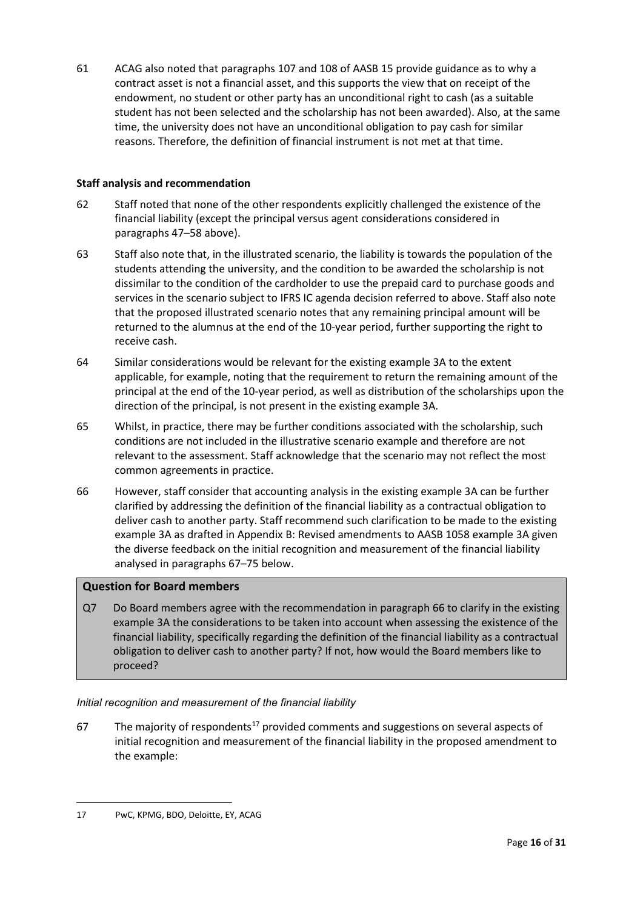61 ACAG also noted that paragraphs 107 and 108 of AASB 15 provide guidance as to why a contract asset is not a financial asset, and this supports the view that on receipt of the endowment, no student or other party has an unconditional right to cash (as a suitable student has not been selected and the scholarship has not been awarded). Also, at the same time, the university does not have an unconditional obligation to pay cash for similar reasons. Therefore, the definition of financial instrument is not met at that time.

## **Staff analysis and recommendation**

- 62 Staff noted that none of the other respondents explicitly challenged the existence of the financial liability (except the principal versus agent considerations considered in paragraphs [47–](#page-12-0)[58](#page-14-0) above).
- 63 Staff also note that, in the illustrated scenario, the liability is towards the population of the students attending the university, and the condition to be awarded the scholarship is not dissimilar to the condition of the cardholder to use the prepaid card to purchase goods and services in the scenario subject to IFRS IC agenda decision referred to above. Staff also note that the proposed illustrated scenario notes that any remaining principal amount will be returned to the alumnus at the end of the 10-year period, further supporting the right to receive cash.
- 64 Similar considerations would be relevant for the existing example 3A to the extent applicable, for example, noting that the requirement to return the remaining amount of the principal at the end of the 10-year period, as well as distribution of the scholarships upon the direction of the principal, is not present in the existing example 3A.
- 65 Whilst, in practice, there may be further conditions associated with the scholarship, such conditions are not included in the illustrative scenario example and therefore are not relevant to the assessment. Staff acknowledge that the scenario may not reflect the most common agreements in practice.
- <span id="page-15-0"></span>66 However, staff consider that accounting analysis in the existing example 3A can be further clarified by addressing the definition of the financial liability as a contractual obligation to deliver cash to another party. Staff recommend such clarification to be made to the existing example 3A as drafted in [Appendix B: Revised amendments to AASB 1058 example 3A](#page-29-0) given the diverse feedback on the initial recognition and measurement of the financial liability analysed in paragraphs [67](#page-15-1)[–75](#page-17-0) below.

## **Question for Board members**

Q7 Do Board members agree with the recommendation in paragraph 66 to clarify in the existing example 3A the considerations to be taken into account when assessing the existence of the financial liability, specifically regarding the definition of the financial liability as a contractual obligation to deliver cash to another party? If not, how would the Board members like to proceed?

## *Initial recognition and measurement of the financial liability*

<span id="page-15-3"></span><span id="page-15-1"></span>67 The majority of respondents<sup>[17](#page-15-2)</sup> provided comments and suggestions on several aspects of initial recognition and measurement of the financial liability in the proposed amendment to the example:

<span id="page-15-2"></span><sup>17</sup> PwC, KPMG, BDO, Deloitte, EY, ACAG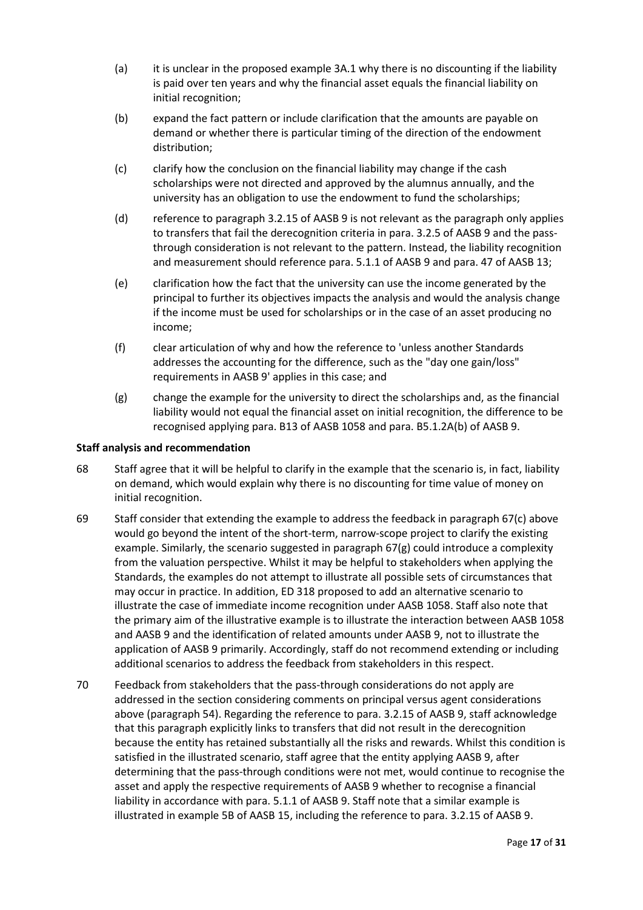- (a) it is unclear in the proposed example 3A.1 why there is no discounting if the liability is paid over ten years and why the financial asset equals the financial liability on initial recognition;
- (b) expand the fact pattern or include clarification that the amounts are payable on demand or whether there is particular timing of the direction of the endowment distribution;
- (c) clarify how the conclusion on the financial liability may change if the cash scholarships were not directed and approved by the alumnus annually, and the university has an obligation to use the endowment to fund the scholarships;
- (d) reference to paragraph 3.2.15 of AASB 9 is not relevant as the paragraph only applies to transfers that fail the derecognition criteria in para. 3.2.5 of AASB 9 and the passthrough consideration is not relevant to the pattern. Instead, the liability recognition and measurement should reference para. 5.1.1 of AASB 9 and para. 47 of AASB 13;
- <span id="page-16-1"></span>(e) clarification how the fact that the university can use the income generated by the principal to further its objectives impacts the analysis and would the analysis change if the income must be used for scholarships or in the case of an asset producing no income;
- (f) clear articulation of why and how the reference to 'unless another Standards addresses the accounting for the difference, such as the "day one gain/loss" requirements in AASB 9' applies in this case; and
- <span id="page-16-0"></span>(g) change the example for the university to direct the scholarships and, as the financial liability would not equal the financial asset on initial recognition, the difference to be recognised applying para. B13 of AASB 1058 and para. B5.1.2A(b) of AASB 9.

## **Staff analysis and recommendation**

- 68 Staff agree that it will be helpful to clarify in the example that the scenario is, in fact, liability on demand, which would explain why there is no discounting for time value of money on initial recognition.
- 69 Staff consider that extending the example to address the feedback in paragraph [67\(](#page-15-3)c) above would go beyond the intent of the short-term, narrow-scope project to clarify the existing example. Similarly, the scenario suggested in paragraph [67\(g\)](#page-16-0) could introduce a complexity from the valuation perspective. Whilst it may be helpful to stakeholders when applying the Standards, the examples do not attempt to illustrate all possible sets of circumstances that may occur in practice. In addition, ED 318 proposed to add an alternative scenario to illustrate the case of immediate income recognition under AASB 1058. Staff also note that the primary aim of the illustrative example is to illustrate the interaction between AASB 1058 and AASB 9 and the identification of related amounts under AASB 9, not to illustrate the application of AASB 9 primarily. Accordingly, staff do not recommend extending or including additional scenarios to address the feedback from stakeholders in this respect.
- 70 Feedback from stakeholders that the pass-through considerations do not apply are addressed in the section considering comments on principal versus agent considerations above (paragraph [54\)](#page-13-0). Regarding the reference to para. 3.2.15 of AASB 9, staff acknowledge that this paragraph explicitly links to transfers that did not result in the derecognition because the entity has retained substantially all the risks and rewards. Whilst this condition is satisfied in the illustrated scenario, staff agree that the entity applying AASB 9, after determining that the pass-through conditions were not met, would continue to recognise the asset and apply the respective requirements of AASB 9 whether to recognise a financial liability in accordance with para. 5.1.1 of AASB 9. Staff note that a similar example is illustrated in example 5B of AASB 15, including the reference to para. 3.2.15 of AASB 9.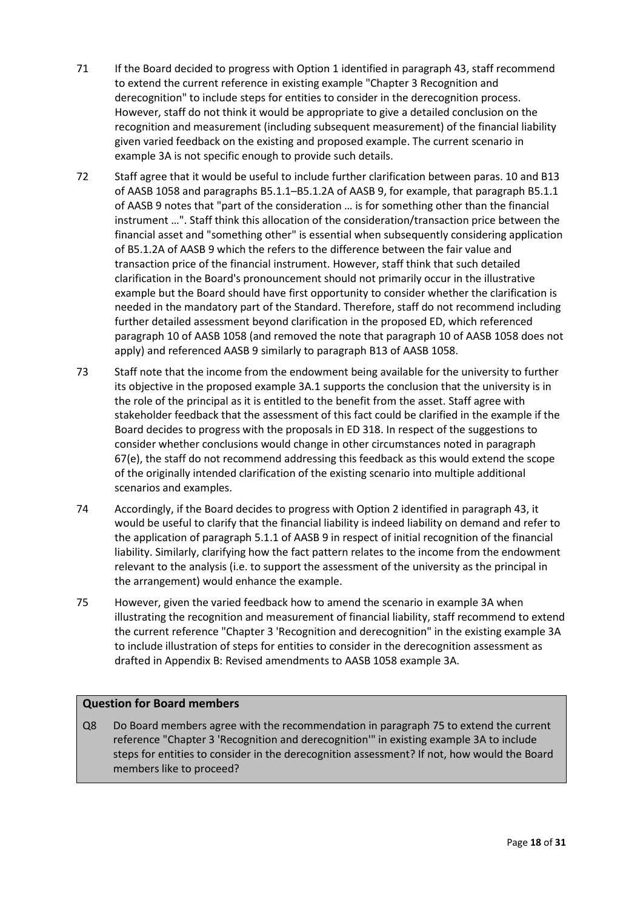- <span id="page-17-1"></span>71 If the Board decided to progress with Option 1 identified in paragraph [43,](#page-11-2) staff recommend to extend the current reference in existing example "Chapter 3 Recognition and derecognition" to include steps for entities to consider in the derecognition process. However, staff do not think it would be appropriate to give a detailed conclusion on the recognition and measurement (including subsequent measurement) of the financial liability given varied feedback on the existing and proposed example. The current scenario in example 3A is not specific enough to provide such details.
- 72 Staff agree that it would be useful to include further clarification between paras. 10 and B13 of AASB 1058 and paragraphs B5.1.1–B5.1.2A of AASB 9, for example, that paragraph B5.1.1 of AASB 9 notes that "part of the consideration … is for something other than the financial instrument …". Staff think this allocation of the consideration/transaction price between the financial asset and "something other" is essential when subsequently considering application of B5.1.2A of AASB 9 which the refers to the difference between the fair value and transaction price of the financial instrument. However, staff think that such detailed clarification in the Board's pronouncement should not primarily occur in the illustrative example but the Board should have first opportunity to consider whether the clarification is needed in the mandatory part of the Standard. Therefore, staff do not recommend including further detailed assessment beyond clarification in the proposed ED, which referenced paragraph 10 of AASB 1058 (and removed the note that paragraph 10 of AASB 1058 does not apply) and referenced AASB 9 similarly to paragraph B13 of AASB 1058.
- 73 Staff note that the income from the endowment being available for the university to further its objective in the proposed example 3A.1 supports the conclusion that the university is in the role of the principal as it is entitled to the benefit from the asset. Staff agree with stakeholder feedback that the assessment of this fact could be clarified in the example if the Board decides to progress with the proposals in ED 318. In respect of the suggestions to consider whether conclusions would change in other circumstances noted in paragraph [67\(e\),](#page-16-1) the staff do not recommend addressing this feedback as this would extend the scope of the originally intended clarification of the existing scenario into multiple additional scenarios and examples.
- 74 Accordingly, if the Board decides to progress with Option 2 identified in paragraph [43,](#page-11-2) it would be useful to clarify that the financial liability is indeed liability on demand and refer to the application of paragraph 5.1.1 of AASB 9 in respect of initial recognition of the financial liability. Similarly, clarifying how the fact pattern relates to the income from the endowment relevant to the analysis (i.e. to support the assessment of the university as the principal in the arrangement) would enhance the example.
- <span id="page-17-0"></span>75 However, given the varied feedback how to amend the scenario in example 3A when illustrating the recognition and measurement of financial liability, staff recommend to extend the current reference "Chapter 3 'Recognition and derecognition" in the existing example 3A to include illustration of steps for entities to consider in the derecognition assessment as drafted in [Appendix B: Revised amendments to AASB 1058 example 3A.](#page-29-0)

## **Question for Board members**

Q8 Do Board members agree with the recommendation in paragrap[h 75](#page-17-0) to extend the current reference "Chapter 3 'Recognition and derecognition'" in existing example 3A to include steps for entities to consider in the derecognition assessment? If not, how would the Board members like to proceed?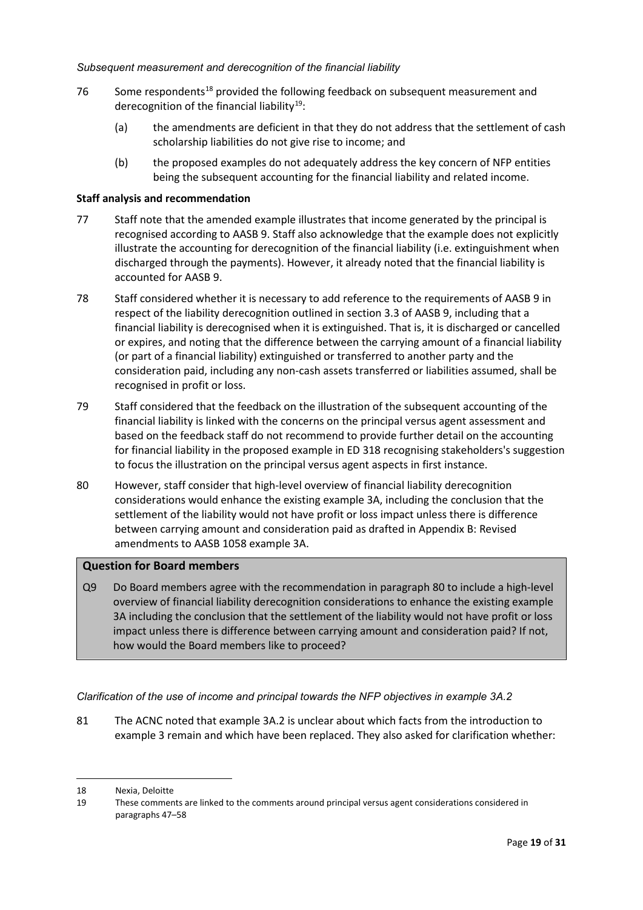- 76 Some respondents<sup>18</sup> provided the following feedback on subsequent measurement and derecognition of the financial liability<sup>[19](#page-18-2)</sup>:
	- (a) the amendments are deficient in that they do not address that the settlement of cash scholarship liabilities do not give rise to income; and
	- (b) the proposed examples do not adequately address the key concern of NFP entities being the subsequent accounting for the financial liability and related income.

#### **Staff analysis and recommendation**

- 77 Staff note that the amended example illustrates that income generated by the principal is recognised according to AASB 9. Staff also acknowledge that the example does not explicitly illustrate the accounting for derecognition of the financial liability (i.e. extinguishment when discharged through the payments). However, it already noted that the financial liability is accounted for AASB 9.
- 78 Staff considered whether it is necessary to add reference to the requirements of AASB 9 in respect of the liability derecognition outlined in section 3.3 of AASB 9, including that a financial liability is derecognised when it is extinguished. That is, it is discharged or cancelled or expires, and noting that the difference between the carrying amount of a financial liability (or part of a financial liability) extinguished or transferred to another party and the consideration paid, including any non-cash assets transferred or liabilities assumed, shall be recognised in profit or loss.
- 79 Staff considered that the feedback on the illustration of the subsequent accounting of the financial liability is linked with the concerns on the principal versus agent assessment and based on the feedback staff do not recommend to provide further detail on the accounting for financial liability in the proposed example in ED 318 recognising stakeholders's suggestion to focus the illustration on the principal versus agent aspects in first instance.
- <span id="page-18-0"></span>80 However, staff consider that high-level overview of financial liability derecognition considerations would enhance the existing example 3A, including the conclusion that the settlement of the liability would not have profit or loss impact unless there is difference between carrying amount and consideration paid as drafted in [Appendix B: Revised](#page-29-0)  [amendments to AASB 1058 example 3A.](#page-29-0)

## **Question for Board members**

Q9 Do Board members agree with the recommendation in paragrap[h 80](#page-18-0) to include a high-level overview of financial liability derecognition considerations to enhance the existing example 3A including the conclusion that the settlement of the liability would not have profit or loss impact unless there is difference between carrying amount and consideration paid? If not, how would the Board members like to proceed?

*Clarification of the use of income and principal towards the NFP objectives in example 3A.2*

81 The ACNC noted that example 3A.2 is unclear about which facts from the introduction to example 3 remain and which have been replaced. They also asked for clarification whether:

<span id="page-18-1"></span><sup>18</sup> Nexia, Deloitte

<span id="page-18-2"></span><sup>19</sup> These comments are linked to the comments around principal versus agent considerations considered in paragraphs 47–58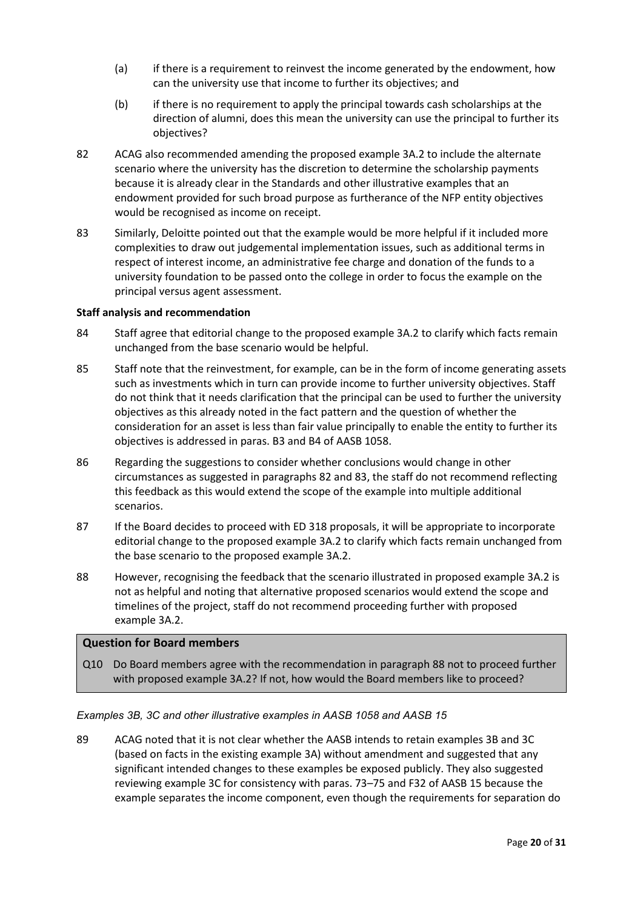- (a) if there is a requirement to reinvest the income generated by the endowment, how can the university use that income to further its objectives; and
- (b) if there is no requirement to apply the principal towards cash scholarships at the direction of alumni, does this mean the university can use the principal to further its objectives?
- <span id="page-19-0"></span>82 ACAG also recommended amending the proposed example 3A.2 to include the alternate scenario where the university has the discretion to determine the scholarship payments because it is already clear in the Standards and other illustrative examples that an endowment provided for such broad purpose as furtherance of the NFP entity objectives would be recognised as income on receipt.
- <span id="page-19-1"></span>83 Similarly, Deloitte pointed out that the example would be more helpful if it included more complexities to draw out judgemental implementation issues, such as additional terms in respect of interest income, an administrative fee charge and donation of the funds to a university foundation to be passed onto the college in order to focus the example on the principal versus agent assessment.

#### **Staff analysis and recommendation**

- 84 Staff agree that editorial change to the proposed example 3A.2 to clarify which facts remain unchanged from the base scenario would be helpful.
- 85 Staff note that the reinvestment, for example, can be in the form of income generating assets such as investments which in turn can provide income to further university objectives. Staff do not think that it needs clarification that the principal can be used to further the university objectives as this already noted in the fact pattern and the question of whether the consideration for an asset is less than fair value principally to enable the entity to further its objectives is addressed in paras. B3 and B4 of AASB 1058.
- 86 Regarding the suggestions to consider whether conclusions would change in other circumstances as suggested in paragraphs [82](#page-19-0) and [83,](#page-19-1) the staff do not recommend reflecting this feedback as this would extend the scope of the example into multiple additional scenarios.
- 87 If the Board decides to proceed with ED 318 proposals, it will be appropriate to incorporate editorial change to the proposed example 3A.2 to clarify which facts remain unchanged from the base scenario to the proposed example 3A.2.
- <span id="page-19-2"></span>88 However, recognising the feedback that the scenario illustrated in proposed example 3A.2 is not as helpful and noting that alternative proposed scenarios would extend the scope and timelines of the project, staff do not recommend proceeding further with proposed example 3A.2.

## **Question for Board members**

Q10 Do Board members agree with the recommendation in paragraph [88](#page-19-2) not to proceed further with proposed example 3A.2? If not, how would the Board members like to proceed?

## *Examples 3B, 3C and other illustrative examples in AASB 1058 and AASB 15*

<span id="page-19-3"></span>89 ACAG noted that it is not clear whether the AASB intends to retain examples 3B and 3C (based on facts in the existing example 3A) without amendment and suggested that any significant intended changes to these examples be exposed publicly. They also suggested reviewing example 3C for consistency with paras. 73–75 and F32 of AASB 15 because the example separates the income component, even though the requirements for separation do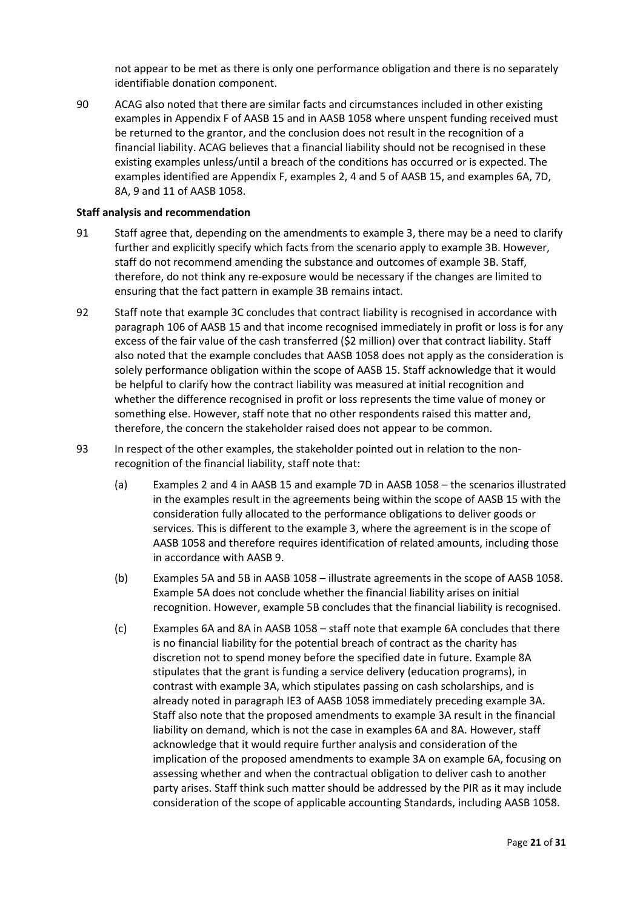not appear to be met as there is only one performance obligation and there is no separately identifiable donation component.

<span id="page-20-0"></span>90 ACAG also noted that there are similar facts and circumstances included in other existing examples in Appendix F of AASB 15 and in AASB 1058 where unspent funding received must be returned to the grantor, and the conclusion does not result in the recognition of a financial liability. ACAG believes that a financial liability should not be recognised in these existing examples unless/until a breach of the conditions has occurred or is expected. The examples identified are Appendix F, examples 2, 4 and 5 of AASB 15, and examples 6A, 7D, 8A, 9 and 11 of AASB 1058.

#### **Staff analysis and recommendation**

- 91 Staff agree that, depending on the amendments to example 3, there may be a need to clarify further and explicitly specify which facts from the scenario apply to example 3B. However, staff do not recommend amending the substance and outcomes of example 3B. Staff, therefore, do not think any re-exposure would be necessary if the changes are limited to ensuring that the fact pattern in example 3B remains intact.
- 92 Staff note that example 3C concludes that contract liability is recognised in accordance with paragraph 106 of AASB 15 and that income recognised immediately in profit or loss is for any excess of the fair value of the cash transferred (\$2 million) over that contract liability. Staff also noted that the example concludes that AASB 1058 does not apply as the consideration is solely performance obligation within the scope of AASB 15. Staff acknowledge that it would be helpful to clarify how the contract liability was measured at initial recognition and whether the difference recognised in profit or loss represents the time value of money or something else. However, staff note that no other respondents raised this matter and, therefore, the concern the stakeholder raised does not appear to be common.
- 93 In respect of the other examples, the stakeholder pointed out in relation to the nonrecognition of the financial liability, staff note that:
	- (a) Examples 2 and 4 in AASB 15 and example 7D in AASB 1058 the scenarios illustrated in the examples result in the agreements being within the scope of AASB 15 with the consideration fully allocated to the performance obligations to deliver goods or services. This is different to the example 3, where the agreement is in the scope of AASB 1058 and therefore requires identification of related amounts, including those in accordance with AASB 9.
	- (b) Examples 5A and 5B in AASB 1058 illustrate agreements in the scope of AASB 1058. Example 5A does not conclude whether the financial liability arises on initial recognition. However, example 5B concludes that the financial liability is recognised.
	- (c) Examples 6A and 8A in AASB 1058 staff note that example 6A concludes that there is no financial liability for the potential breach of contract as the charity has discretion not to spend money before the specified date in future. Example 8A stipulates that the grant is funding a service delivery (education programs), in contrast with example 3A, which stipulates passing on cash scholarships, and is already noted in paragraph IE3 of AASB 1058 immediately preceding example 3A. Staff also note that the proposed amendments to example 3A result in the financial liability on demand, which is not the case in examples 6A and 8A. However, staff acknowledge that it would require further analysis and consideration of the implication of the proposed amendments to example 3A on example 6A, focusing on assessing whether and when the contractual obligation to deliver cash to another party arises. Staff think such matter should be addressed by the PIR as it may include consideration of the scope of applicable accounting Standards, including AASB 1058.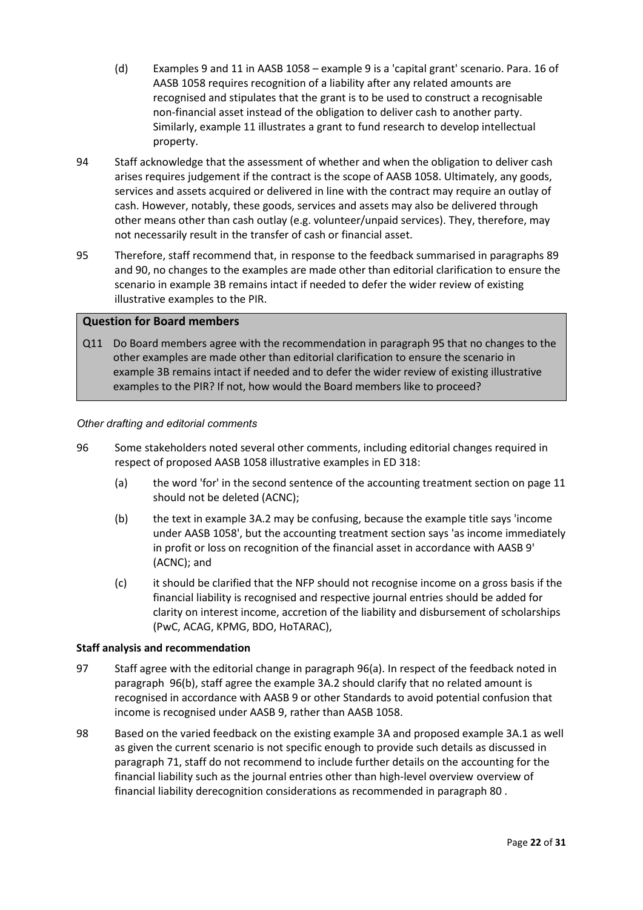- (d) Examples 9 and 11 in AASB 1058 example 9 is a 'capital grant' scenario. Para. 16 of AASB 1058 requires recognition of a liability after any related amounts are recognised and stipulates that the grant is to be used to construct a recognisable non-financial asset instead of the obligation to deliver cash to another party. Similarly, example 11 illustrates a grant to fund research to develop intellectual property.
- 94 Staff acknowledge that the assessment of whether and when the obligation to deliver cash arises requires judgement if the contract is the scope of AASB 1058. Ultimately, any goods, services and assets acquired or delivered in line with the contract may require an outlay of cash. However, notably, these goods, services and assets may also be delivered through other means other than cash outlay (e.g. volunteer/unpaid services). They, therefore, may not necessarily result in the transfer of cash or financial asset.
- <span id="page-21-0"></span>95 Therefore, staff recommend that, in response to the feedback summarised in paragraphs [89](#page-19-3) an[d 90,](#page-20-0) no changes to the examples are made other than editorial clarification to ensure the scenario in example 3B remains intact if needed to defer the wider review of existing illustrative examples to the PIR.

#### **Question for Board members**

Q11 Do Board members agree with the recommendation in paragraph [95](#page-21-0) that no changes to the other examples are made other than editorial clarification to ensure the scenario in example 3B remains intact if needed and to defer the wider review of existing illustrative examples to the PIR? If not, how would the Board members like to proceed?

#### *Other drafting and editorial comments*

- <span id="page-21-2"></span><span id="page-21-1"></span>96 Some stakeholders noted several other comments, including editorial changes required in respect of proposed AASB 1058 illustrative examples in ED 318:
	- (a) the word 'for' in the second sentence of the accounting treatment section on page 11 should not be deleted (ACNC);
	- (b) the text in example 3A.2 may be confusing, because the example title says 'income under AASB 1058', but the accounting treatment section says 'as income immediately in profit or loss on recognition of the financial asset in accordance with AASB 9' (ACNC); and
	- (c) it should be clarified that the NFP should not recognise income on a gross basis if the financial liability is recognised and respective journal entries should be added for clarity on interest income, accretion of the liability and disbursement of scholarships (PwC, ACAG, KPMG, BDO, HoTARAC),

#### **Staff analysis and recommendation**

- 97 Staff agree with the editorial change in paragraph [96\(a\).](#page-21-1) In respect of the feedback noted in paragraph [96\(b\),](#page-21-2) staff agree the example 3A.2 should clarify that no related amount is recognised in accordance with AASB 9 or other Standards to avoid potential confusion that income is recognised under AASB 9, rather than AASB 1058.
- <span id="page-21-3"></span>98 Based on the varied feedback on the existing example 3A and proposed example 3A.1 as well as given the current scenario is not specific enough to provide such details as discussed in paragraph [71,](#page-17-1) staff do not recommend to include further details on the accounting for the financial liability such as the journal entries other than high-level overview overview of financial liability derecognition considerations as recommended in paragrap[h 80](#page-18-0) .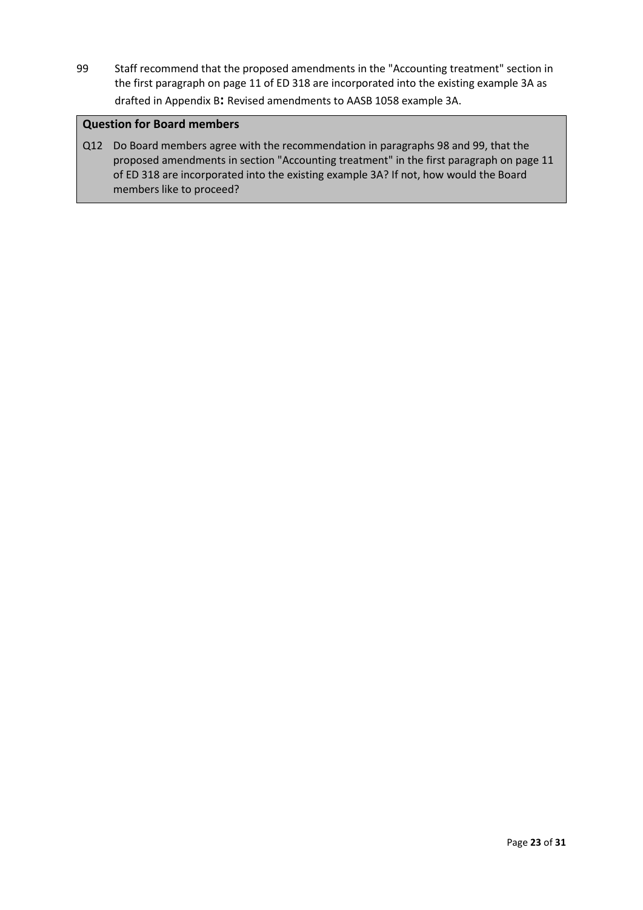<span id="page-22-0"></span>99 Staff recommend that the proposed amendments in the "Accounting treatment" section in the first paragraph on page 11 of ED 318 are incorporated into the existing example 3A as drafted in Appendix B**:** [Revised amendments to AASB 1058 example 3A.](#page-29-0)

## **Question for Board members**

Q12 Do Board members agree with the recommendation in paragraphs [98](#page-21-3) and [99,](#page-22-0) that the proposed amendments in section "Accounting treatment" in the first paragraph on page 11 of ED 318 are incorporated into the existing example 3A? If not, how would the Board members like to proceed?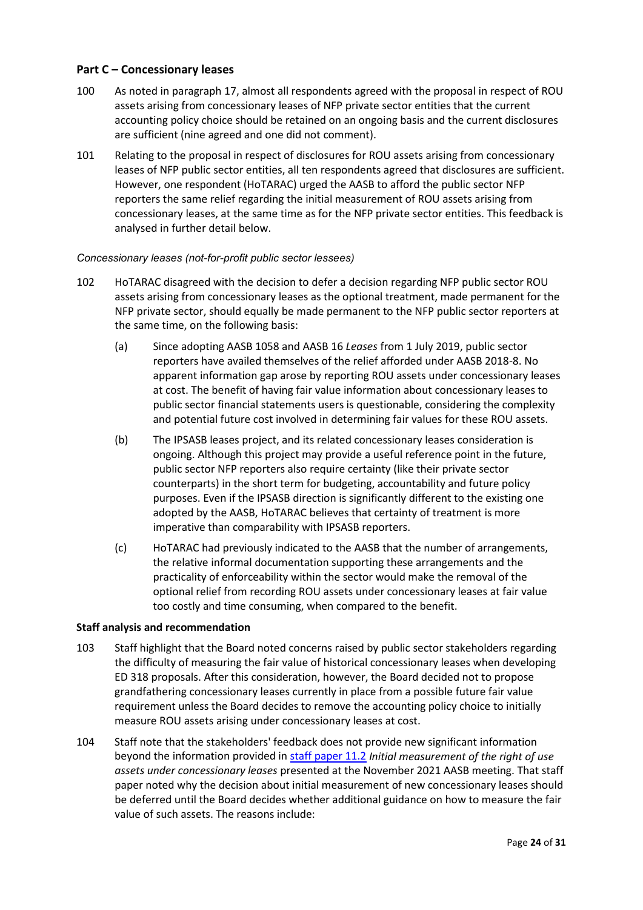## <span id="page-23-1"></span>**Part C – Concessionary leases**

- <span id="page-23-0"></span>100 As noted in paragraph [17,](#page-5-0) almost all respondents agreed with the proposal in respect of ROU assets arising from concessionary leases of NFP private sector entities that the current accounting policy choice should be retained on an ongoing basis and the current disclosures are sufficient (nine agreed and one did not comment).
- 101 Relating to the proposal in respect of disclosures for ROU assets arising from concessionary leases of NFP public sector entities, all ten respondents agreed that disclosures are sufficient. However, one respondent (HoTARAC) urged the AASB to afford the public sector NFP reporters the same relief regarding the initial measurement of ROU assets arising from concessionary leases, at the same time as for the NFP private sector entities. This feedback is analysed in further detail below.

## *Concessionary leases (not-for-profit public sector lessees)*

- 102 HoTARAC disagreed with the decision to defer a decision regarding NFP public sector ROU assets arising from concessionary leases as the optional treatment, made permanent for the NFP private sector, should equally be made permanent to the NFP public sector reporters at the same time, on the following basis:
	- (a) Since adopting AASB 1058 and AASB 16 *Leases* from 1 July 2019, public sector reporters have availed themselves of the relief afforded under AASB 2018-8. No apparent information gap arose by reporting ROU assets under concessionary leases at cost. The benefit of having fair value information about concessionary leases to public sector financial statements users is questionable, considering the complexity and potential future cost involved in determining fair values for these ROU assets.
	- (b) The IPSASB leases project, and its related concessionary leases consideration is ongoing. Although this project may provide a useful reference point in the future, public sector NFP reporters also require certainty (like their private sector counterparts) in the short term for budgeting, accountability and future policy purposes. Even if the IPSASB direction is significantly different to the existing one adopted by the AASB, HoTARAC believes that certainty of treatment is more imperative than comparability with IPSASB reporters.
	- (c) HoTARAC had previously indicated to the AASB that the number of arrangements, the relative informal documentation supporting these arrangements and the practicality of enforceability within the sector would make the removal of the optional relief from recording ROU assets under concessionary leases at fair value too costly and time consuming, when compared to the benefit.

## **Staff analysis and recommendation**

- 103 Staff highlight that the Board noted concerns raised by public sector stakeholders regarding the difficulty of measuring the fair value of historical concessionary leases when developing ED 318 proposals. After this consideration, however, the Board decided not to propose grandfathering concessionary leases currently in place from a possible future fair value requirement unless the Board decides to remove the accounting policy choice to initially measure ROU assets arising under concessionary leases at cost.
- 104 Staff note that the stakeholders' feedback does not provide new significant information beyond the information provided i[n staff paper 11.2](https://aasb.gov.au/media/ftkjme15/11-2_sp_concessionaryleases_m184_pp.pdf) *Initial measurement of the right of use assets under concessionary leases* presented at the November 2021 AASB meeting. That staff paper noted why the decision about initial measurement of new concessionary leases should be deferred until the Board decides whether additional guidance on how to measure the fair value of such assets. The reasons include: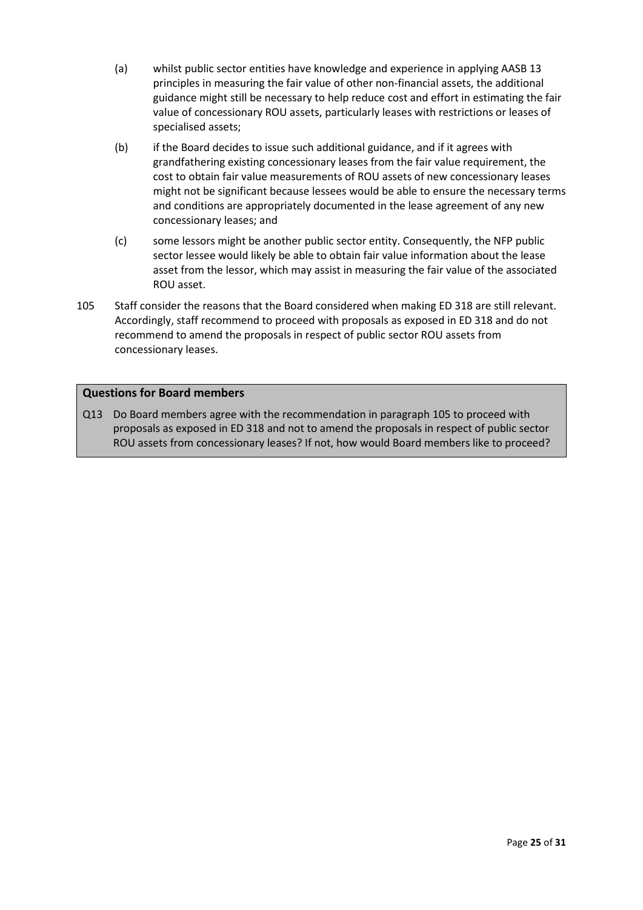- (a) whilst public sector entities have knowledge and experience in applying AASB 13 principles in measuring the fair value of other non-financial assets, the additional guidance might still be necessary to help reduce cost and effort in estimating the fair value of concessionary ROU assets, particularly leases with restrictions or leases of specialised assets;
- (b) if the Board decides to issue such additional guidance, and if it agrees with grandfathering existing concessionary leases from the fair value requirement, the cost to obtain fair value measurements of ROU assets of new concessionary leases might not be significant because lessees would be able to ensure the necessary terms and conditions are appropriately documented in the lease agreement of any new concessionary leases; and
- (c) some lessors might be another public sector entity. Consequently, the NFP public sector lessee would likely be able to obtain fair value information about the lease asset from the lessor, which may assist in measuring the fair value of the associated ROU asset.
- <span id="page-24-0"></span>105 Staff consider the reasons that the Board considered when making ED 318 are still relevant. Accordingly, staff recommend to proceed with proposals as exposed in ED 318 and do not recommend to amend the proposals in respect of public sector ROU assets from concessionary leases.

## **Questions for Board members**

Q13 Do Board members agree with the recommendation in paragraph [105](#page-24-0) to proceed with proposals as exposed in ED 318 and not to amend the proposals in respect of public sector ROU assets from concessionary leases? If not, how would Board members like to proceed?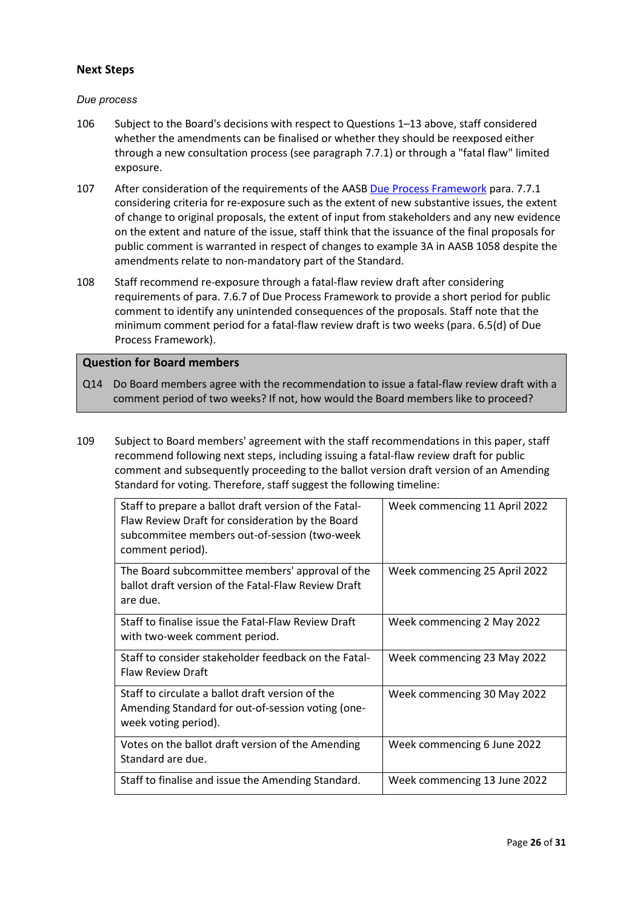## **Next Steps**

### *Due process*

- <span id="page-25-0"></span>106 Subject to the Board's decisions with respect to Questions 1–13 above, staff considered whether the amendments can be finalised or whether they should be reexposed either through a new consultation process (see paragraph 7.7.1) or through a "fatal flaw" limited exposure.
- 107 After consideration of the requirements of the AASB [Due Process Framework](https://aasb.gov.au/admin/file/content102/c3/AASB_Due_Process_Framework_09-19.pdf) para. 7.7.1 considering criteria for re-exposure such as the extent of new substantive issues, the extent of change to original proposals, the extent of input from stakeholders and any new evidence on the extent and nature of the issue, staff think that the issuance of the final proposals for public comment is warranted in respect of changes to example 3A in AASB 1058 despite the amendments relate to non-mandatory part of the Standard.
- 108 Staff recommend re-exposure through a fatal-flaw review draft after considering requirements of para. 7.6.7 of Due Process Framework to provide a short period for public comment to identify any unintended consequences of the proposals. Staff note that the minimum comment period for a fatal-flaw review draft is two weeks (para. 6.5(d) of Due Process Framework).

### **Question for Board members**

- Q14 Do Board members agree with the recommendation to issue a fatal-flaw review draft with a comment period of two weeks? If not, how would the Board members like to proceed?
- <span id="page-25-1"></span>109 Subject to Board members' agreement with the staff recommendations in this paper, staff recommend following next steps, including issuing a fatal-flaw review draft for public comment and subsequently proceeding to the ballot version draft version of an Amending Standard for voting. Therefore, staff suggest the following timeline:

| Staff to prepare a ballot draft version of the Fatal-<br>Flaw Review Draft for consideration by the Board<br>subcommitee members out-of-session (two-week<br>comment period). | Week commencing 11 April 2022 |
|-------------------------------------------------------------------------------------------------------------------------------------------------------------------------------|-------------------------------|
| The Board subcommittee members' approval of the<br>ballot draft version of the Fatal-Flaw Review Draft<br>are due.                                                            | Week commencing 25 April 2022 |
| Staff to finalise issue the Fatal-Flaw Review Draft<br>with two-week comment period.                                                                                          | Week commencing 2 May 2022    |
| Staff to consider stakeholder feedback on the Fatal-<br>Flaw Review Draft                                                                                                     | Week commencing 23 May 2022   |
| Staff to circulate a ballot draft version of the<br>Amending Standard for out-of-session voting (one-<br>week voting period).                                                 | Week commencing 30 May 2022   |
| Votes on the ballot draft version of the Amending<br>Standard are due.                                                                                                        | Week commencing 6 June 2022   |
| Staff to finalise and issue the Amending Standard.                                                                                                                            | Week commencing 13 June 2022  |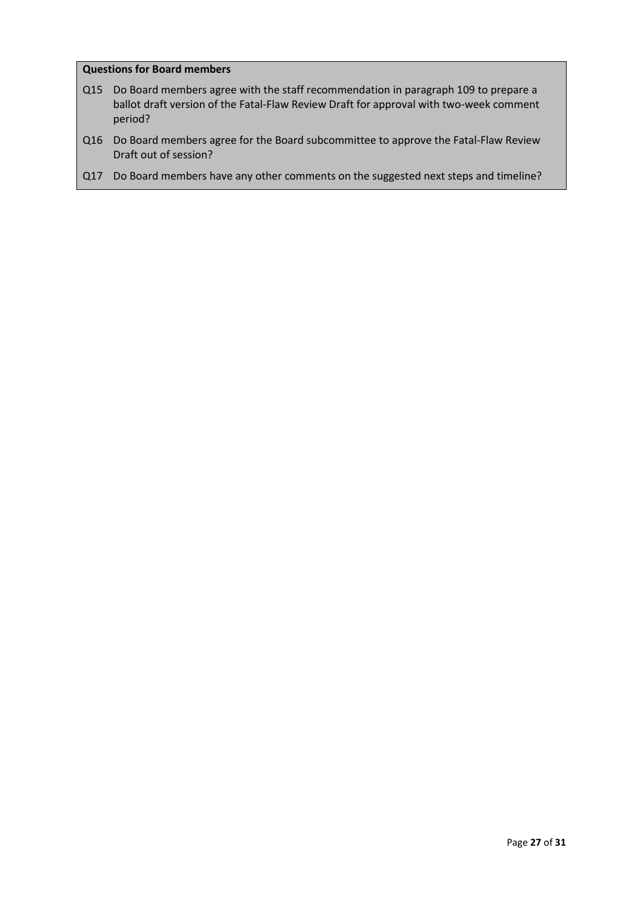## **Questions for Board members**

- Q15 Do Board members agree with the staff recommendation in paragraph [109](#page-25-1) to prepare a ballot draft version of the Fatal-Flaw Review Draft for approval with two-week comment period?
- Q16 Do Board members agree for the Board subcommittee to approve the Fatal-Flaw Review Draft out of session?
- Q17 Do Board members have any other comments on the suggested next steps and timeline?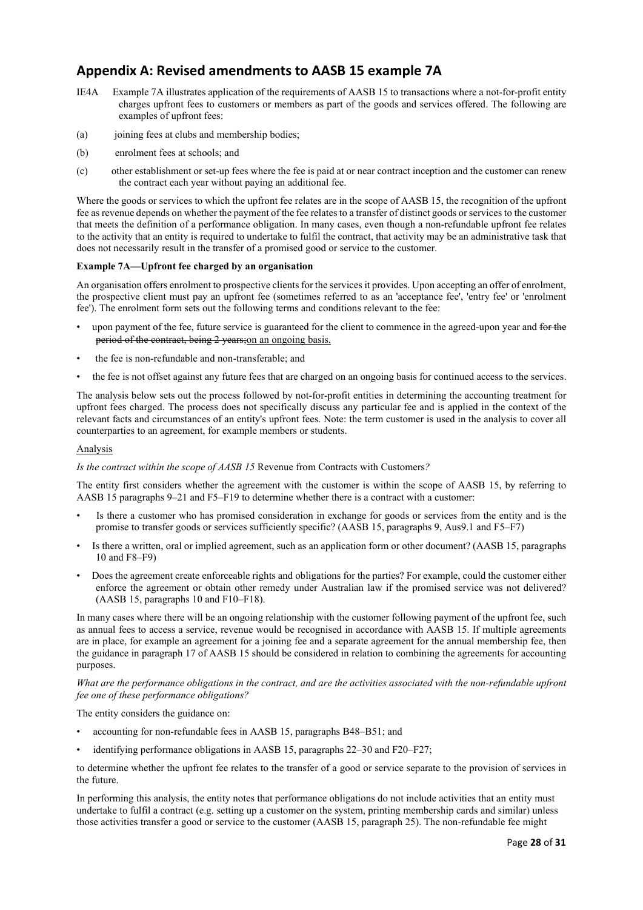# <span id="page-27-0"></span>**Appendix A: Revised amendments to AASB 15 example 7A**

- IE4A Example 7A illustrates application of the requirements of AASB 15 to transactions where a not-for-profit entity charges upfront fees to customers or members as part of the goods and services offered. The following are examples of upfront fees:
- (a) joining fees at clubs and membership bodies;
- (b) enrolment fees at schools; and
- (c) other establishment or set-up fees where the fee is paid at or near contract inception and the customer can renew the contract each year without paying an additional fee.

Where the goods or services to which the upfront fee relates are in the scope of AASB 15, the recognition of the upfront fee as revenue depends on whether the payment of the fee relates to a transfer of distinct goods or services to the customer that meets the definition of a performance obligation. In many cases, even though a non-refundable upfront fee relates to the activity that an entity is required to undertake to fulfil the contract, that activity may be an administrative task that does not necessarily result in the transfer of a promised good or service to the customer.

#### **Example 7A—Upfront fee charged by an organisation**

An organisation offers enrolment to prospective clients for the services it provides. Upon accepting an offer of enrolment, the prospective client must pay an upfront fee (sometimes referred to as an 'acceptance fee', 'entry fee' or 'enrolment fee'). The enrolment form sets out the following terms and conditions relevant to the fee:

- upon payment of the fee, future service is guaranteed for the client to commence in the agreed-upon year and for the period of the contract, being 2 years;on an ongoing basis.
- the fee is non-refundable and non-transferable; and
- the fee is not offset against any future fees that are charged on an ongoing basis for continued access to the services.

The analysis below sets out the process followed by not-for-profit entities in determining the accounting treatment for upfront fees charged. The process does not specifically discuss any particular fee and is applied in the context of the relevant facts and circumstances of an entity's upfront fees. Note: the term customer is used in the analysis to cover all counterparties to an agreement, for example members or students.

#### Analysis

#### *Is the contract within the scope of AASB 15* Revenue from Contracts with Customers*?*

The entity first considers whether the agreement with the customer is within the scope of AASB 15, by referring to AASB 15 paragraphs 9–21 and F5–F19 to determine whether there is a contract with a customer:

- Is there a customer who has promised consideration in exchange for goods or services from the entity and is the promise to transfer goods or services sufficiently specific? (AASB 15, paragraphs 9, Aus9.1 and F5–F7)
- Is there a written, oral or implied agreement, such as an application form or other document? (AASB 15, paragraphs 10 and F8–F9)
- Does the agreement create enforceable rights and obligations for the parties? For example, could the customer either enforce the agreement or obtain other remedy under Australian law if the promised service was not delivered? (AASB 15, paragraphs 10 and F10–F18).

In many cases where there will be an ongoing relationship with the customer following payment of the upfront fee, such as annual fees to access a service, revenue would be recognised in accordance with AASB 15. If multiple agreements are in place, for example an agreement for a joining fee and a separate agreement for the annual membership fee, then the guidance in paragraph 17 of AASB 15 should be considered in relation to combining the agreements for accounting purposes.

*What are the performance obligations in the contract, and are the activities associated with the non-refundable upfront fee one of these performance obligations?*

The entity considers the guidance on:

- accounting for non-refundable fees in AASB 15, paragraphs B48–B51; and
- identifying performance obligations in AASB 15, paragraphs 22–30 and F20–F27;

to determine whether the upfront fee relates to the transfer of a good or service separate to the provision of services in the future.

In performing this analysis, the entity notes that performance obligations do not include activities that an entity must undertake to fulfil a contract (e.g. setting up a customer on the system, printing membership cards and similar) unless those activities transfer a good or service to the customer (AASB 15, paragraph 25). The non-refundable fee might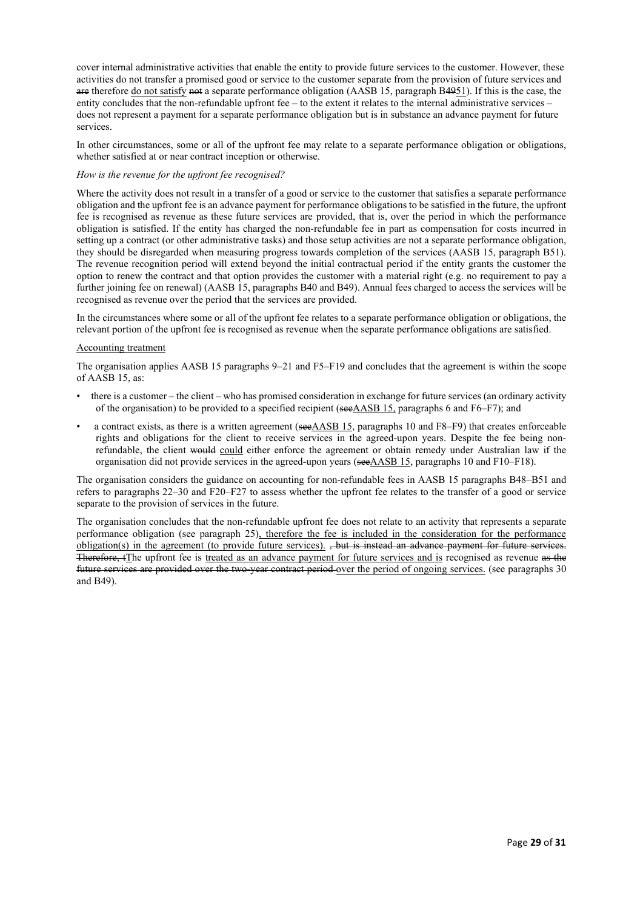cover internal administrative activities that enable the entity to provide future services to the customer. However, these activities do not transfer a promised good or service to the customer separate from the provision of future services and are therefore do not satisfy not a separate performance obligation (AASB 15, paragraph B4951). If this is the case, the entity concludes that the non-refundable upfront fee – to the extent it relates to the internal administrative services – does not represent a payment for a separate performance obligation but is in substance an advance payment for future services.

In other circumstances, some or all of the upfront fee may relate to a separate performance obligation or obligations, whether satisfied at or near contract inception or otherwise.

#### *How is the revenue for the upfront fee recognised?*

Where the activity does not result in a transfer of a good or service to the customer that satisfies a separate performance obligation and the upfront fee is an advance payment for performance obligations to be satisfied in the future, the upfront fee is recognised as revenue as these future services are provided, that is, over the period in which the performance obligation is satisfied. If the entity has charged the non-refundable fee in part as compensation for costs incurred in setting up a contract (or other administrative tasks) and those setup activities are not a separate performance obligation, they should be disregarded when measuring progress towards completion of the services (AASB 15, paragraph B51). The revenue recognition period will extend beyond the initial contractual period if the entity grants the customer the option to renew the contract and that option provides the customer with a material right (e.g. no requirement to pay a further joining fee on renewal) (AASB 15, paragraphs B40 and B49). Annual fees charged to access the services will be recognised as revenue over the period that the services are provided.

In the circumstances where some or all of the upfront fee relates to a separate performance obligation or obligations, the relevant portion of the upfront fee is recognised as revenue when the separate performance obligations are satisfied.

#### Accounting treatment

The organisation applies AASB 15 paragraphs 9–21 and F5–F19 and concludes that the agreement is within the scope of AASB 15, as:

- there is a customer the client who has promised consideration in exchange for future services (an ordinary activity of the organisation) to be provided to a specified recipient (seeAASB 15, paragraphs 6 and F6–F7); and
- a contract exists, as there is a written agreement (see AASB 15, paragraphs 10 and F8–F9) that creates enforceable rights and obligations for the client to receive services in the agreed-upon years. Despite the fee being nonrefundable, the client would could either enforce the agreement or obtain remedy under Australian law if the organisation did not provide services in the agreed-upon years (seeAASB 15, paragraphs 10 and F10–F18).

The organisation considers the guidance on accounting for non-refundable fees in AASB 15 paragraphs B48–B51 and refers to paragraphs 22–30 and F20–F27 to assess whether the upfront fee relates to the transfer of a good or service separate to the provision of services in the future.

The organisation concludes that the non-refundable upfront fee does not relate to an activity that represents a separate performance obligation (see paragraph 25), therefore the fee is included in the consideration for the performance obligation(s) in the agreement (to provide future services). , but is instead an advance payment for future services. Therefore, tThe upfront fee is treated as an advance payment for future services and is recognised as revenue as the future services are provided over the two-year contract period over the period of ongoing services. (see paragraphs 30 and B49).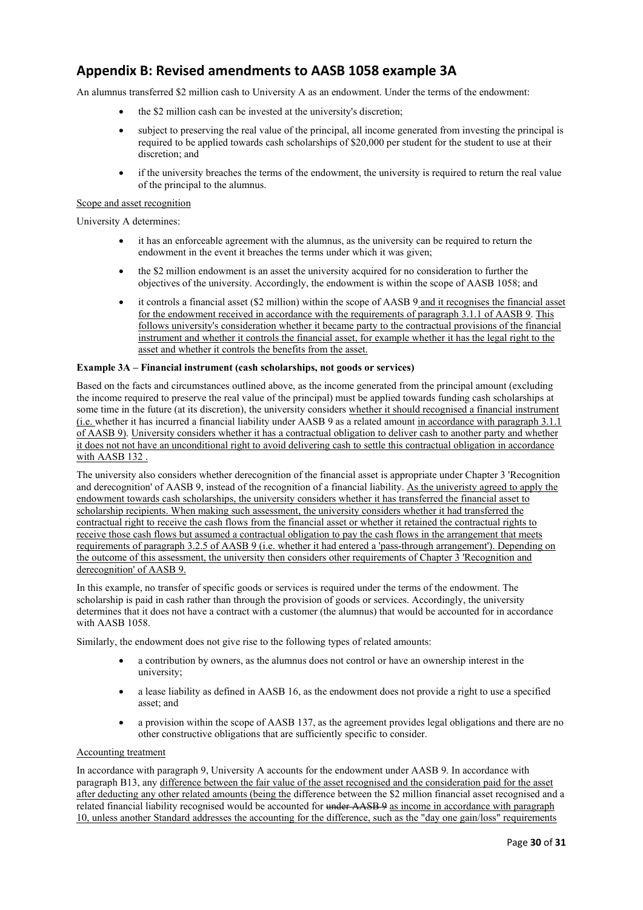# <span id="page-29-0"></span>**Appendix B: Revised amendments to AASB 1058 example 3A**

An alumnus transferred \$2 million cash to University A as an endowment. Under the terms of the endowment:

- the \$2 million cash can be invested at the university's discretion;
- subject to preserving the real value of the principal, all income generated from investing the principal is required to be applied towards cash scholarships of \$20,000 per student for the student to use at their discretion; and
- if the university breaches the terms of the endowment, the university is required to return the real value of the principal to the alumnus.

#### Scope and asset recognition

University A determines:

- it has an enforceable agreement with the alumnus, as the university can be required to return the endowment in the event it breaches the terms under which it was given;
- the \$2 million endowment is an asset the university acquired for no consideration to further the objectives of the university. Accordingly, the endowment is within the scope of AASB 1058; and
- it controls a financial asset (\$2 million) within the scope of AASB 9 and it recognises the financial asset for the endowment received in accordance with the requirements of paragraph 3.1.1 of AASB 9. This follows university's consideration whether it became party to the contractual provisions of the financial instrument and whether it controls the financial asset, for example whether it has the legal right to the asset and whether it controls the benefits from the asset.

#### **Example 3A – Financial instrument (cash scholarships, not goods or services)**

Based on the facts and circumstances outlined above, as the income generated from the principal amount (excluding the income required to preserve the real value of the principal) must be applied towards funding cash scholarships at some time in the future (at its discretion), the university considers whether it should recognised a financial instrument (i.e. whether it has incurred a financial liability under AASB 9 as a related amount in accordance with paragraph 3.1.1 of AASB 9). University considers whether it has a contractual obligation to deliver cash to another party and whether it does not not have an unconditional right to avoid delivering cash to settle this contractual obligation in accordance with AASB 132 .

The university also considers whether derecognition of the financial asset is appropriate under Chapter 3 'Recognition and derecognition' of AASB 9, instead of the recognition of a financial liability. As the univeristy agreed to apply the endowment towards cash scholarships, the university considers whether it has transferred the financial asset to scholarship recipients. When making such assessment, the university considers whether it had transferred the contractual right to receive the cash flows from the financial asset or whether it retained the contractual rights to receive those cash flows but assumed a contractual obligation to pay the cash flows in the arrangement that meets requirements of paragraph 3.2.5 of AASB 9 (i.e. whether it had entered a 'pass-through arrangement'). Depending on the outcome of this assessment, the university then considers other requirements of Chapter 3 'Recognition and derecognition' of AASB 9.

In this example, no transfer of specific goods or services is required under the terms of the endowment. The scholarship is paid in cash rather than through the provision of goods or services. Accordingly, the university determines that it does not have a contract with a customer (the alumnus) that would be accounted for in accordance with AASB 1058.

Similarly, the endowment does not give rise to the following types of related amounts:

- a contribution by owners, as the alumnus does not control or have an ownership interest in the university;
- a lease liability as defined in AASB 16, as the endowment does not provide a right to use a specified asset; and
- a provision within the scope of AASB 137, as the agreement provides legal obligations and there are no other constructive obligations that are sufficiently specific to consider.

#### Accounting treatment

In accordance with paragraph 9, University A accounts for the endowment under AASB 9. In accordance with paragraph B13, any difference between the fair value of the asset recognised and the consideration paid for the asset after deducting any other related amounts (being the difference between the \$2 million financial asset recognised and a related financial liability recognised would be accounted for under AASB 9 as income in accordance with paragraph 10, unless another Standard addresses the accounting for the difference, such as the "day one gain/loss" requirements